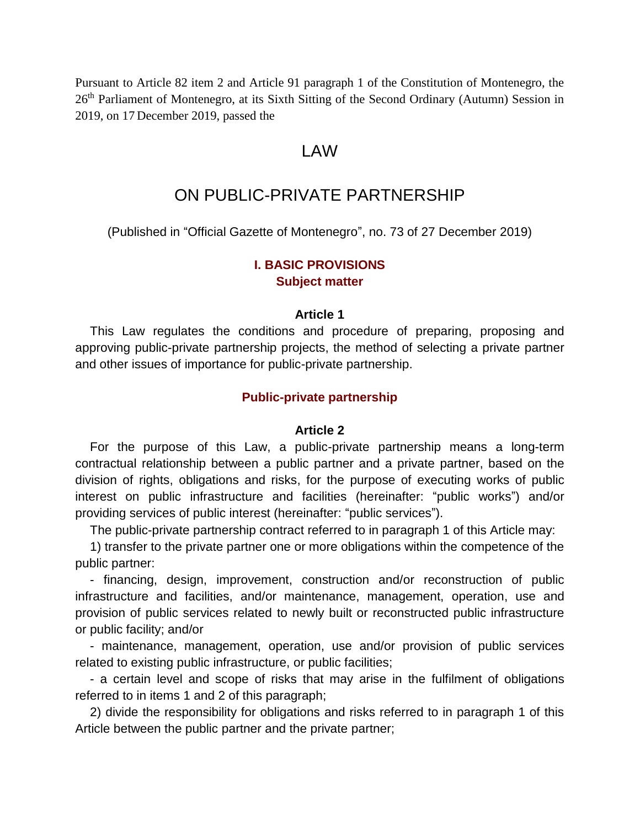Pursuant to Article 82 item 2 and Article 91 paragraph 1 of the Constitution of Montenegro, the 26<sup>th</sup> Parliament of Montenegro, at its Sixth Sitting of the Second Ordinary (Autumn) Session in 2019, on 17 December 2019, passed the

# LAW

# ON PUBLIC-PRIVATE PARTNERSHIP

(Published in "Official Gazette of Montenegro", no. 73 of 27 December 2019)

# **I. BASIC PROVISIONS Subject matter**

### **Article 1**

This Law regulates the conditions and procedure of preparing, proposing and approving public-private partnership projects, the method of selecting a private partner and other issues of importance for public-private partnership.

### **Public-private partnership**

## **Article 2**

For the purpose of this Law, a public-private partnership means a long-term contractual relationship between a public partner and a private partner, based on the division of rights, obligations and risks, for the purpose of executing works of public interest on public infrastructure and facilities (hereinafter: "public works") and/or providing services of public interest (hereinafter: "public services").

The public-private partnership contract referred to in paragraph 1 of this Article may:

1) transfer to the private partner one or more obligations within the competence of the public partner:

- financing, design, improvement, construction and/or reconstruction of public infrastructure and facilities, and/or maintenance, management, operation, use and provision of public services related to newly built or reconstructed public infrastructure or public facility; and/or

- maintenance, management, operation, use and/or provision of public services related to existing public infrastructure, or public facilities;

- a certain level and scope of risks that may arise in the fulfilment of obligations referred to in items 1 and 2 of this paragraph;

2) divide the responsibility for obligations and risks referred to in paragraph 1 of this Article between the public partner and the private partner;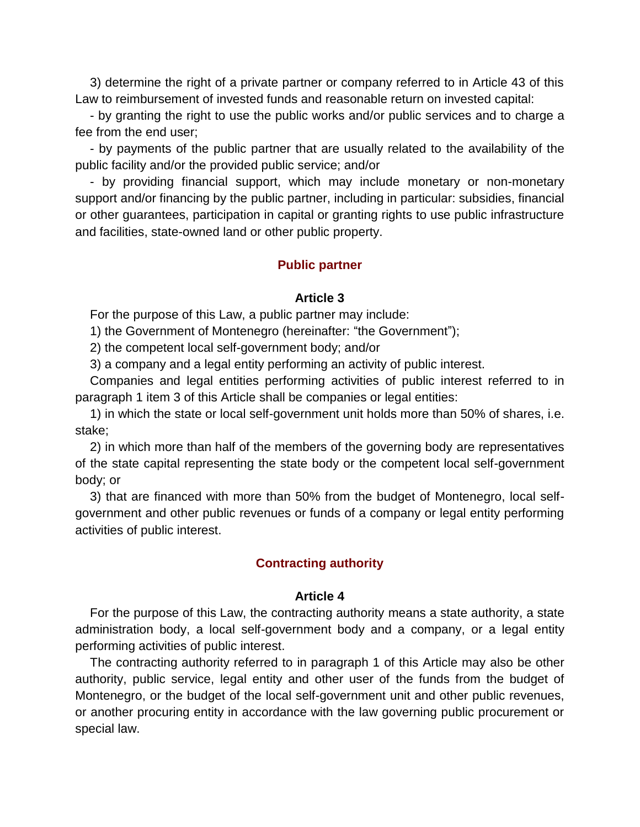3) determine the right of a private partner or company referred to in Article 43 of this Law to reimbursement of invested funds and reasonable return on invested capital:

- by granting the right to use the public works and/or public services and to charge a fee from the end user;

- by payments of the public partner that are usually related to the availability of the public facility and/or the provided public service; and/or

- by providing financial support, which may include monetary or non-monetary support and/or financing by the public partner, including in particular: subsidies, financial or other guarantees, participation in capital or granting rights to use public infrastructure and facilities, state-owned land or other public property.

## **Public partner**

### **Article 3**

For the purpose of this Law, a public partner may include:

1) the Government of Montenegro (hereinafter: "the Government");

2) the competent local self-government body; and/or

3) a company and a legal entity performing an activity of public interest.

Companies and legal entities performing activities of public interest referred to in paragraph 1 item 3 of this Article shall be companies or legal entities:

1) in which the state or local self-government unit holds more than 50% of shares, i.e. stake;

2) in which more than half of the members of the governing body are representatives of the state capital representing the state body or the competent local self-government body; or

3) that are financed with more than 50% from the budget of Montenegro, local selfgovernment and other public revenues or funds of a company or legal entity performing activities of public interest.

## **Contracting authority**

#### **Article 4**

For the purpose of this Law, the contracting authority means a state authority, a state administration body, a local self-government body and a company, or a legal entity performing activities of public interest.

The contracting authority referred to in paragraph 1 of this Article may also be other authority, public service, legal entity and other user of the funds from the budget of Montenegro, or the budget of the local self-government unit and other public revenues, or another procuring entity in accordance with the law governing public procurement or special law.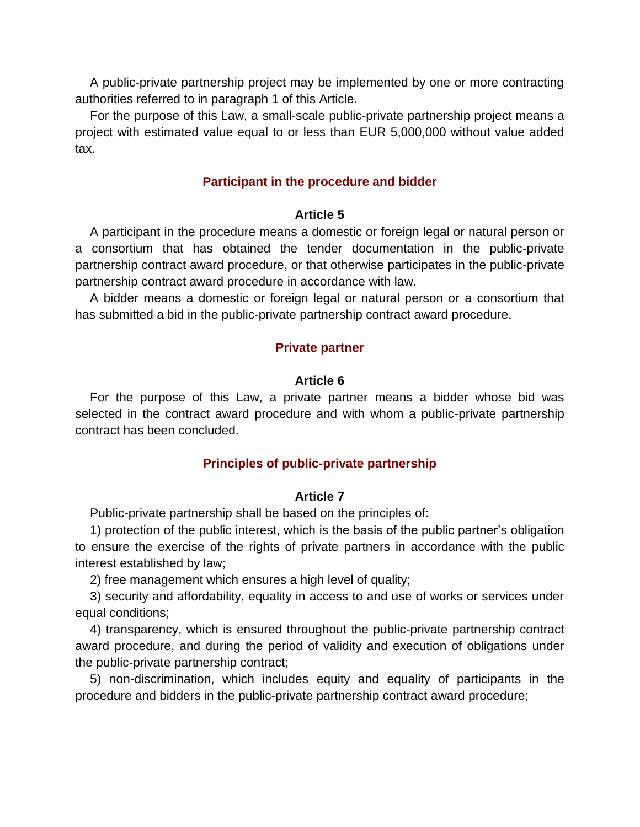A public-private partnership project may be implemented by one or more contracting authorities referred to in paragraph 1 of this Article.

For the purpose of this Law, a small-scale public-private partnership project means a project with estimated value equal to or less than EUR 5,000,000 without value added tax.

## **Participant in the procedure and bidder**

### **Article 5**

A participant in the procedure means a domestic or foreign legal or natural person or a consortium that has obtained the tender documentation in the public-private partnership contract award procedure, or that otherwise participates in the public-private partnership contract award procedure in accordance with law.

A bidder means a domestic or foreign legal or natural person or a consortium that has submitted a bid in the public-private partnership contract award procedure.

## **Private partner**

### **Article 6**

For the purpose of this Law, a private partner means a bidder whose bid was selected in the contract award procedure and with whom a public-private partnership contract has been concluded.

## **Principles of public-private partnership**

#### **Article 7**

Public-private partnership shall be based on the principles of:

1) protection of the public interest, which is the basis of the public partner's obligation to ensure the exercise of the rights of private partners in accordance with the public interest established by law;

2) free management which ensures a high level of quality;

3) security and affordability, equality in access to and use of works or services under equal conditions;

4) transparency, which is ensured throughout the public-private partnership contract award procedure, and during the period of validity and execution of obligations under the public-private partnership contract;

5) non-discrimination, which includes equity and equality of participants in the procedure and bidders in the public-private partnership contract award procedure;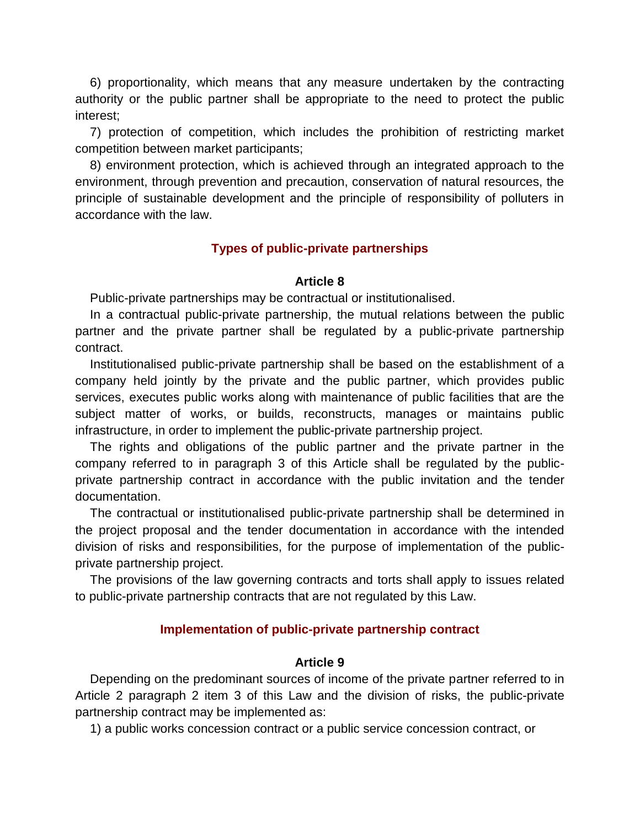6) proportionality, which means that any measure undertaken by the contracting authority or the public partner shall be appropriate to the need to protect the public interest;

7) protection of competition, which includes the prohibition of restricting market competition between market participants;

8) environment protection, which is achieved through an integrated approach to the environment, through prevention and precaution, conservation of natural resources, the principle of sustainable development and the principle of responsibility of polluters in accordance with the law.

# **Types of public-private partnerships**

## **Article 8**

Public-private partnerships may be contractual or institutionalised.

In a contractual public-private partnership, the mutual relations between the public partner and the private partner shall be regulated by a public-private partnership contract.

Institutionalised public-private partnership shall be based on the establishment of a company held jointly by the private and the public partner, which provides public services, executes public works along with maintenance of public facilities that are the subject matter of works, or builds, reconstructs, manages or maintains public infrastructure, in order to implement the public-private partnership project.

The rights and obligations of the public partner and the private partner in the company referred to in paragraph 3 of this Article shall be regulated by the publicprivate partnership contract in accordance with the public invitation and the tender documentation.

The contractual or institutionalised public-private partnership shall be determined in the project proposal and the tender documentation in accordance with the intended division of risks and responsibilities, for the purpose of implementation of the publicprivate partnership project.

The provisions of the law governing contracts and torts shall apply to issues related to public-private partnership contracts that are not regulated by this Law.

# **Implementation of public-private partnership contract**

# **Article 9**

Depending on the predominant sources of income of the private partner referred to in Article 2 paragraph 2 item 3 of this Law and the division of risks, the public-private partnership contract may be implemented as:

1) a public works concession contract or a public service concession contract, or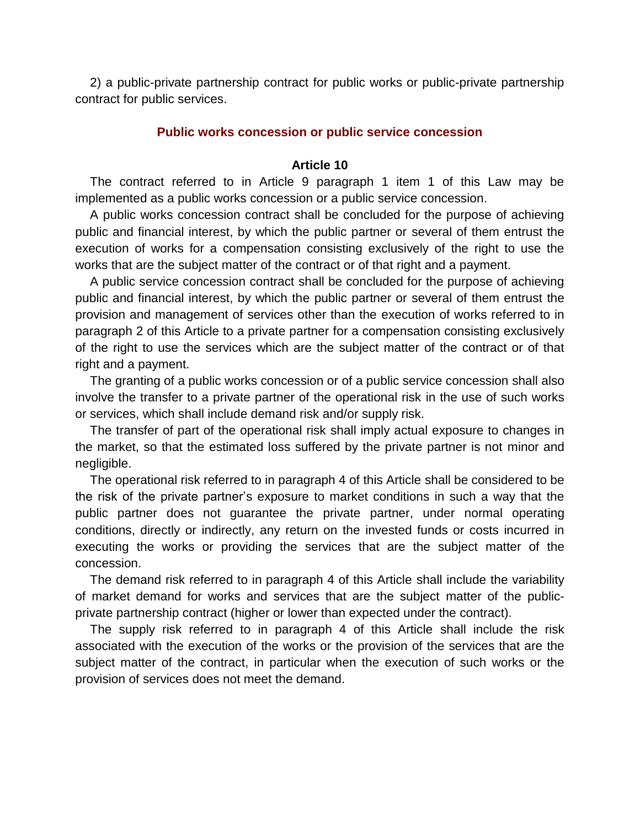2) a public-private partnership contract for public works or public-private partnership contract for public services.

### **Public works concession or public service concession**

#### **Article 10**

The contract referred to in Article 9 paragraph 1 item 1 of this Law may be implemented as a public works concession or a public service concession.

A public works concession contract shall be concluded for the purpose of achieving public and financial interest, by which the public partner or several of them entrust the execution of works for a compensation consisting exclusively of the right to use the works that are the subject matter of the contract or of that right and a payment.

A public service concession contract shall be concluded for the purpose of achieving public and financial interest, by which the public partner or several of them entrust the provision and management of services other than the execution of works referred to in paragraph 2 of this Article to a private partner for a compensation consisting exclusively of the right to use the services which are the subject matter of the contract or of that right and a payment.

The granting of a public works concession or of a public service concession shall also involve the transfer to a private partner of the operational risk in the use of such works or services, which shall include demand risk and/or supply risk.

The transfer of part of the operational risk shall imply actual exposure to changes in the market, so that the estimated loss suffered by the private partner is not minor and negligible.

The operational risk referred to in paragraph 4 of this Article shall be considered to be the risk of the private partner's exposure to market conditions in such a way that the public partner does not guarantee the private partner, under normal operating conditions, directly or indirectly, any return on the invested funds or costs incurred in executing the works or providing the services that are the subject matter of the concession.

The demand risk referred to in paragraph 4 of this Article shall include the variability of market demand for works and services that are the subject matter of the publicprivate partnership contract (higher or lower than expected under the contract).

The supply risk referred to in paragraph 4 of this Article shall include the risk associated with the execution of the works or the provision of the services that are the subject matter of the contract, in particular when the execution of such works or the provision of services does not meet the demand.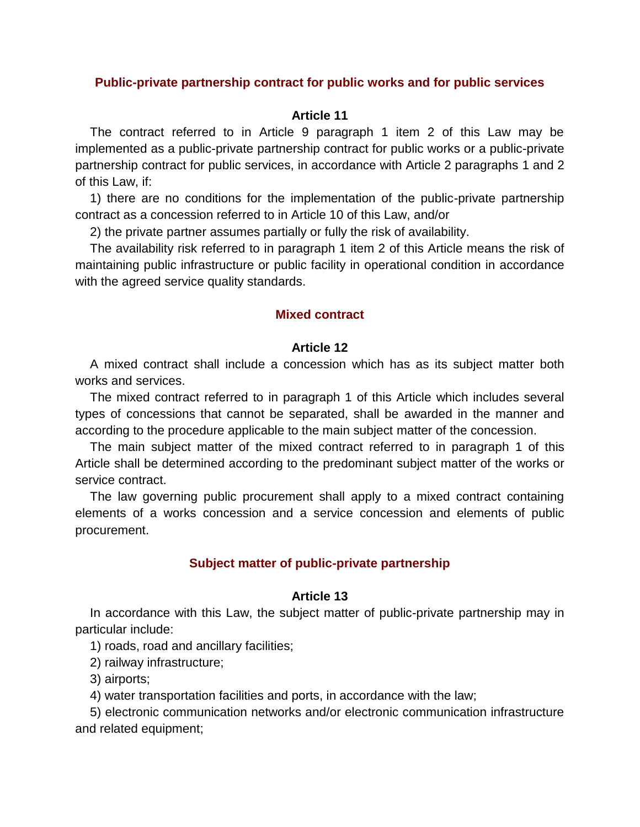## **Public-private partnership contract for public works and for public services**

## **Article 11**

The contract referred to in Article 9 paragraph 1 item 2 of this Law may be implemented as a public-private partnership contract for public works or a public-private partnership contract for public services, in accordance with Article 2 paragraphs 1 and 2 of this Law, if:

1) there are no conditions for the implementation of the public-private partnership contract as a concession referred to in Article 10 of this Law, and/or

2) the private partner assumes partially or fully the risk of availability.

The availability risk referred to in paragraph 1 item 2 of this Article means the risk of maintaining public infrastructure or public facility in operational condition in accordance with the agreed service quality standards.

## **Mixed contract**

## **Article 12**

A mixed contract shall include a concession which has as its subject matter both works and services.

The mixed contract referred to in paragraph 1 of this Article which includes several types of concessions that cannot be separated, shall be awarded in the manner and according to the procedure applicable to the main subject matter of the concession.

The main subject matter of the mixed contract referred to in paragraph 1 of this Article shall be determined according to the predominant subject matter of the works or service contract.

The law governing public procurement shall apply to a mixed contract containing elements of a works concession and a service concession and elements of public procurement.

## **Subject matter of public-private partnership**

### **Article 13**

In accordance with this Law, the subject matter of public-private partnership may in particular include:

1) roads, road and ancillary facilities;

2) railway infrastructure;

3) airports;

4) water transportation facilities and ports, in accordance with the law;

5) electronic communication networks and/or electronic communication infrastructure and related equipment;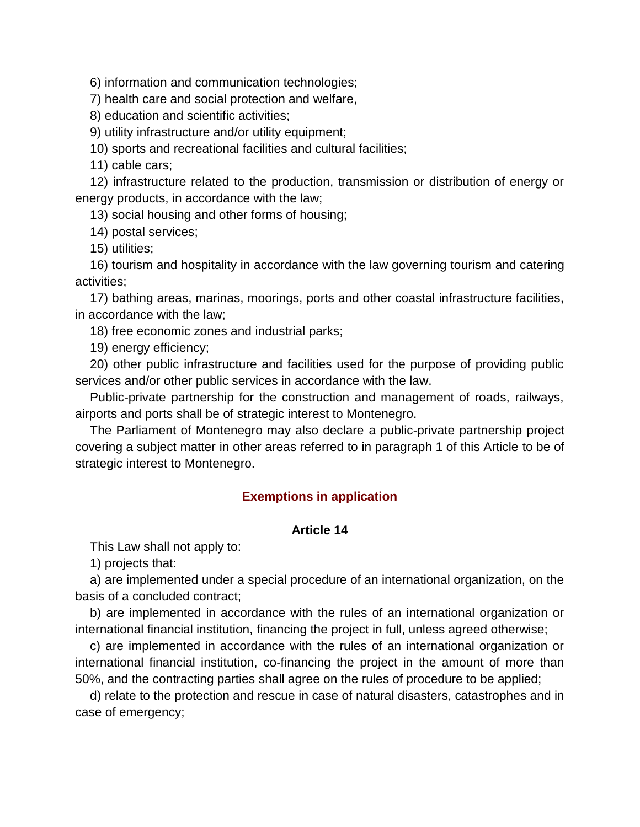6) information and communication technologies;

7) health care and social protection and welfare,

8) education and scientific activities;

9) utility infrastructure and/or utility equipment;

10) sports and recreational facilities and cultural facilities;

11) cable cars;

12) infrastructure related to the production, transmission or distribution of energy or energy products, in accordance with the law;

13) social housing and other forms of housing;

14) postal services;

15) utilities;

16) tourism and hospitality in accordance with the law governing tourism and catering activities;

17) bathing areas, marinas, moorings, ports and other coastal infrastructure facilities, in accordance with the law;

18) free economic zones and industrial parks;

19) energy efficiency;

20) other public infrastructure and facilities used for the purpose of providing public services and/or other public services in accordance with the law.

Public-private partnership for the construction and management of roads, railways, airports and ports shall be of strategic interest to Montenegro.

The Parliament of Montenegro may also declare a public-private partnership project covering a subject matter in other areas referred to in paragraph 1 of this Article to be of strategic interest to Montenegro.

# **Exemptions in application**

## **Article 14**

This Law shall not apply to:

1) projects that:

a) are implemented under a special procedure of an international organization, on the basis of a concluded contract;

b) are implemented in accordance with the rules of an international organization or international financial institution, financing the project in full, unless agreed otherwise;

c) are implemented in accordance with the rules of an international organization or international financial institution, co-financing the project in the amount of more than 50%, and the contracting parties shall agree on the rules of procedure to be applied;

d) relate to the protection and rescue in case of natural disasters, catastrophes and in case of emergency;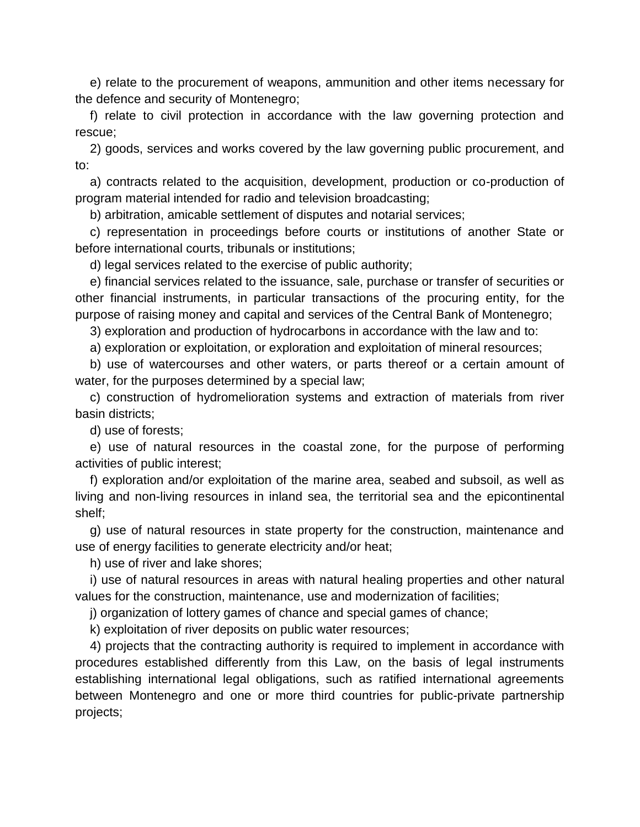e) relate to the procurement of weapons, ammunition and other items necessary for the defence and security of Montenegro;

f) relate to civil protection in accordance with the law governing protection and rescue;

2) goods, services and works covered by the law governing public procurement, and to:

a) contracts related to the acquisition, development, production or co-production of program material intended for radio and television broadcasting;

b) arbitration, amicable settlement of disputes and notarial services;

c) representation in proceedings before courts or institutions of another State or before international courts, tribunals or institutions;

d) legal services related to the exercise of public authority;

e) financial services related to the issuance, sale, purchase or transfer of securities or other financial instruments, in particular transactions of the procuring entity, for the purpose of raising money and capital and services of the Central Bank of Montenegro;

3) exploration and production of hydrocarbons in accordance with the law and to:

a) exploration or exploitation, or exploration and exploitation of mineral resources;

b) use of watercourses and other waters, or parts thereof or a certain amount of water, for the purposes determined by a special law;

c) construction of hydromelioration systems and extraction of materials from river basin districts;

d) use of forests;

e) use of natural resources in the coastal zone, for the purpose of performing activities of public interest;

f) exploration and/or exploitation of the marine area, seabed and subsoil, as well as living and non-living resources in inland sea, the territorial sea and the epicontinental shelf;

g) use of natural resources in state property for the construction, maintenance and use of energy facilities to generate electricity and/or heat;

h) use of river and lake shores;

i) use of natural resources in areas with natural healing properties and other natural values for the construction, maintenance, use and modernization of facilities;

j) organization of lottery games of chance and special games of chance;

k) exploitation of river deposits on public water resources;

4) projects that the contracting authority is required to implement in accordance with procedures established differently from this Law, on the basis of legal instruments establishing international legal obligations, such as ratified international agreements between Montenegro and one or more third countries for public-private partnership projects;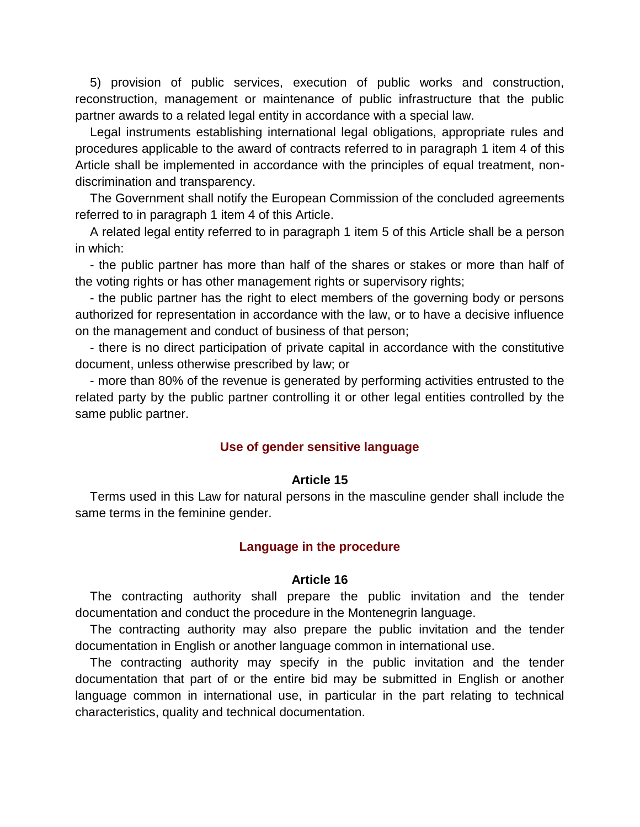5) provision of public services, execution of public works and construction, reconstruction, management or maintenance of public infrastructure that the public partner awards to a related legal entity in accordance with a special law.

Legal instruments establishing international legal obligations, appropriate rules and procedures applicable to the award of contracts referred to in paragraph 1 item 4 of this Article shall be implemented in accordance with the principles of equal treatment, nondiscrimination and transparency.

The Government shall notify the European Commission of the concluded agreements referred to in paragraph 1 item 4 of this Article.

A related legal entity referred to in paragraph 1 item 5 of this Article shall be a person in which:

- the public partner has more than half of the shares or stakes or more than half of the voting rights or has other management rights or supervisory rights;

- the public partner has the right to elect members of the governing body or persons authorized for representation in accordance with the law, or to have a decisive influence on the management and conduct of business of that person;

- there is no direct participation of private capital in accordance with the constitutive document, unless otherwise prescribed by law; or

- more than 80% of the revenue is generated by performing activities entrusted to the related party by the public partner controlling it or other legal entities controlled by the same public partner.

#### **Use of gender sensitive language**

#### **Article 15**

Terms used in this Law for natural persons in the masculine gender shall include the same terms in the feminine gender.

#### **Language in the procedure**

## **Article 16**

The contracting authority shall prepare the public invitation and the tender documentation and conduct the procedure in the Montenegrin language.

The contracting authority may also prepare the public invitation and the tender documentation in English or another language common in international use.

The contracting authority may specify in the public invitation and the tender documentation that part of or the entire bid may be submitted in English or another language common in international use, in particular in the part relating to technical characteristics, quality and technical documentation.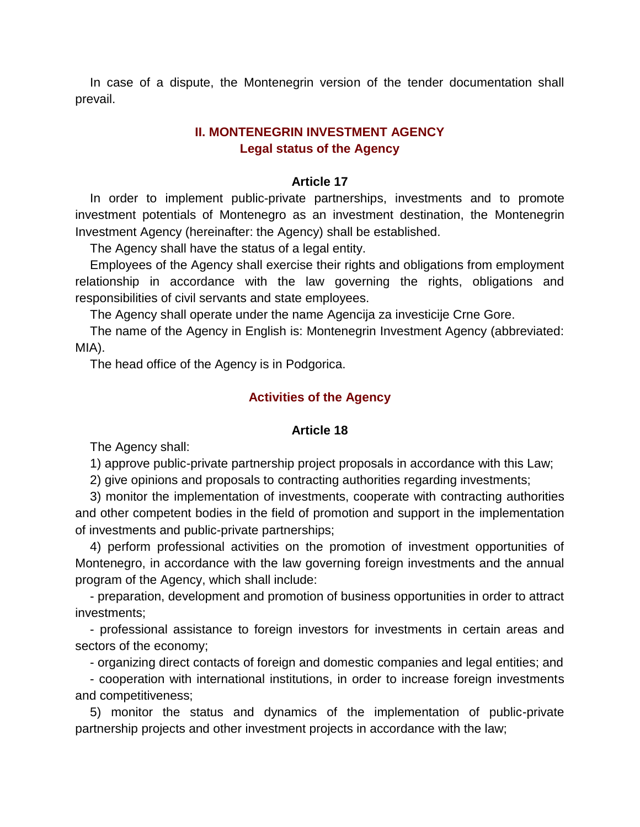In case of a dispute, the Montenegrin version of the tender documentation shall prevail.

# **II. MONTENEGRIN INVESTMENT AGENCY Legal status of the Agency**

## **Article 17**

In order to implement public-private partnerships, investments and to promote investment potentials of Montenegro as an investment destination, the Montenegrin Investment Agency (hereinafter: the Agency) shall be established.

The Agency shall have the status of a legal entity.

Employees of the Agency shall exercise their rights and obligations from employment relationship in accordance with the law governing the rights, obligations and responsibilities of civil servants and state employees.

The Agency shall operate under the name Agencija za investicije Crne Gore.

The name of the Agency in English is: Montenegrin Investment Agency (abbreviated: MIA).

The head office of the Agency is in Podgorica.

## **Activities of the Agency**

## **Article 18**

The Agency shall:

1) approve public-private partnership project proposals in accordance with this Law;

2) give opinions and proposals to contracting authorities regarding investments;

3) monitor the implementation of investments, cooperate with contracting authorities and other competent bodies in the field of promotion and support in the implementation of investments and public-private partnerships;

4) perform professional activities on the promotion of investment opportunities of Montenegro, in accordance with the law governing foreign investments and the annual program of the Agency, which shall include:

- preparation, development and promotion of business opportunities in order to attract investments;

- professional assistance to foreign investors for investments in certain areas and sectors of the economy;

- organizing direct contacts of foreign and domestic companies and legal entities; and

- cooperation with international institutions, in order to increase foreign investments and competitiveness;

5) monitor the status and dynamics of the implementation of public-private partnership projects and other investment projects in accordance with the law;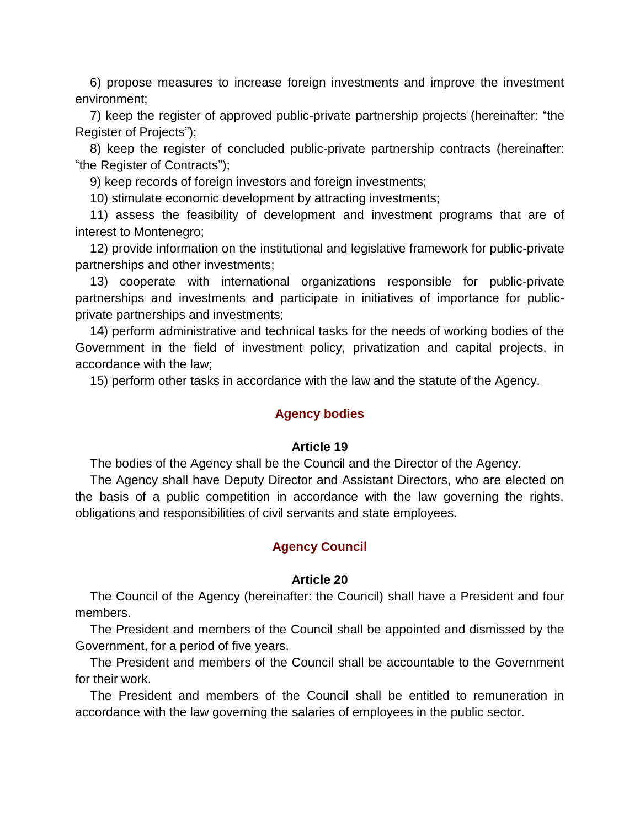6) propose measures to increase foreign investments and improve the investment environment;

7) keep the register of approved public-private partnership projects (hereinafter: "the Register of Projects");

8) keep the register of concluded public-private partnership contracts (hereinafter: "the Register of Contracts");

9) keep records of foreign investors and foreign investments;

10) stimulate economic development by attracting investments;

11) assess the feasibility of development and investment programs that are of interest to Montenegro;

12) provide information on the institutional and legislative framework for public-private partnerships and other investments;

13) cooperate with international organizations responsible for public-private partnerships and investments and participate in initiatives of importance for publicprivate partnerships and investments;

14) perform administrative and technical tasks for the needs of working bodies of the Government in the field of investment policy, privatization and capital projects, in accordance with the law;

15) perform other tasks in accordance with the law and the statute of the Agency.

## **Agency bodies**

## **Article 19**

The bodies of the Agency shall be the Council and the Director of the Agency.

The Agency shall have Deputy Director and Assistant Directors, who are elected on the basis of a public competition in accordance with the law governing the rights, obligations and responsibilities of civil servants and state employees.

# **Agency Council**

## **Article 20**

The Council of the Agency (hereinafter: the Council) shall have a President and four members.

The President and members of the Council shall be appointed and dismissed by the Government, for a period of five years.

The President and members of the Council shall be accountable to the Government for their work.

The President and members of the Council shall be entitled to remuneration in accordance with the law governing the salaries of employees in the public sector.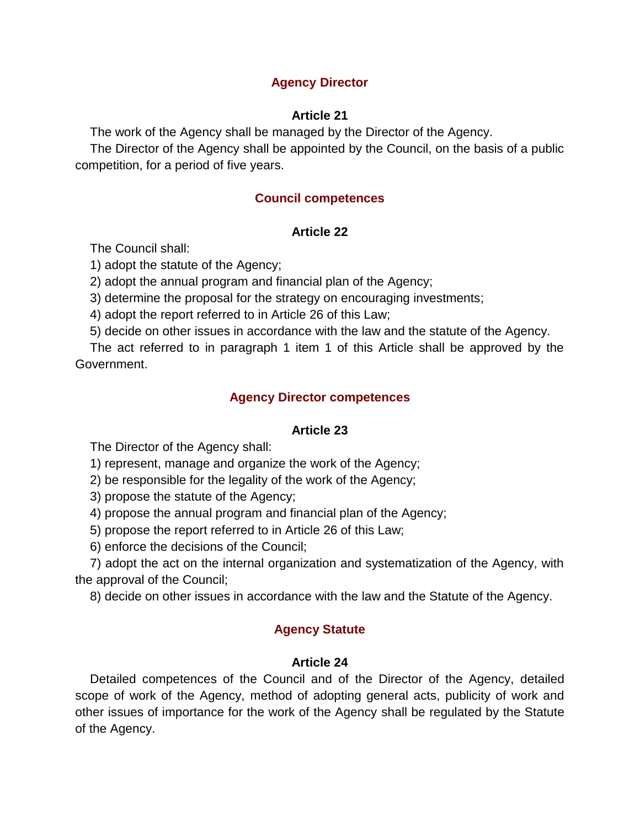# **Agency Director**

# **Article 21**

The work of the Agency shall be managed by the Director of the Agency.

The Director of the Agency shall be appointed by the Council, on the basis of a public competition, for a period of five years.

# **Council competences**

## **Article 22**

The Council shall:

1) adopt the statute of the Agency;

2) adopt the annual program and financial plan of the Agency;

3) determine the proposal for the strategy on encouraging investments;

4) adopt the report referred to in Article 26 of this Law;

5) decide on other issues in accordance with the law and the statute of the Agency.

The act referred to in paragraph 1 item 1 of this Article shall be approved by the Government.

## **Agency Director competences**

## **Article 23**

The Director of the Agency shall:

1) represent, manage and organize the work of the Agency;

2) be responsible for the legality of the work of the Agency;

3) propose the statute of the Agency;

4) propose the annual program and financial plan of the Agency;

5) propose the report referred to in Article 26 of this Law;

6) enforce the decisions of the Council;

7) adopt the act on the internal organization and systematization of the Agency, with the approval of the Council;

8) decide on other issues in accordance with the law and the Statute of the Agency.

# **Agency Statute**

# **Article 24**

Detailed competences of the Council and of the Director of the Agency, detailed scope of work of the Agency, method of adopting general acts, publicity of work and other issues of importance for the work of the Agency shall be regulated by the Statute of the Agency.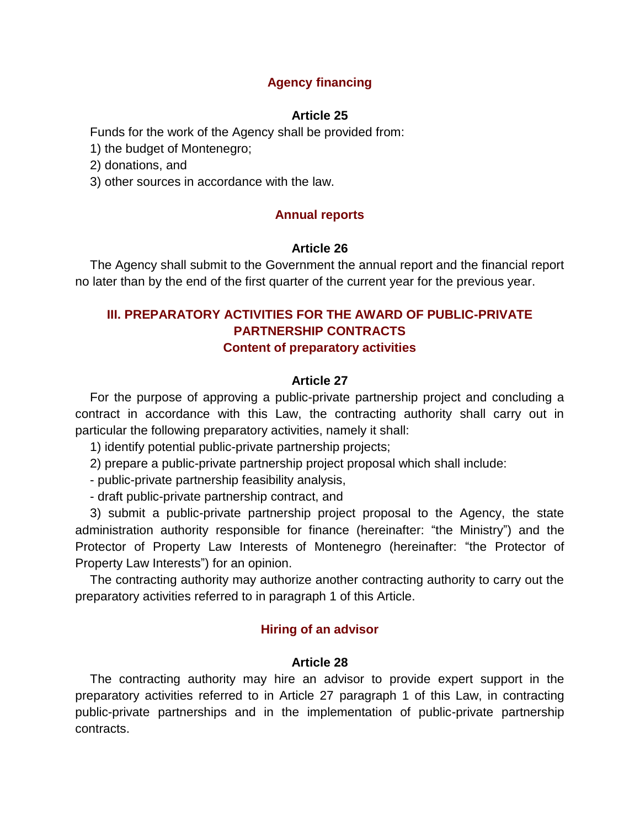# **Agency financing**

## **Article 25**

Funds for the work of the Agency shall be provided from:

1) the budget of Montenegro;

2) donations, and

3) other sources in accordance with the law.

# **Annual reports**

## **Article 26**

The Agency shall submit to the Government the annual report and the financial report no later than by the end of the first quarter of the current year for the previous year.

# **III. PREPARATORY ACTIVITIES FOR THE AWARD OF PUBLIC-PRIVATE PARTNERSHIP CONTRACTS Content of preparatory activities**

## **Article 27**

For the purpose of approving a public-private partnership project and concluding a contract in accordance with this Law, the contracting authority shall carry out in particular the following preparatory activities, namely it shall:

1) identify potential public-private partnership projects;

2) prepare a public-private partnership project proposal which shall include:

- public-private partnership feasibility analysis,

- draft public-private partnership contract, and

3) submit a public-private partnership project proposal to the Agency, the state administration authority responsible for finance (hereinafter: "the Ministry") and the Protector of Property Law Interests of Montenegro (hereinafter: "the Protector of Property Law Interests") for an opinion.

The contracting authority may authorize another contracting authority to carry out the preparatory activities referred to in paragraph 1 of this Article.

## **Hiring of an advisor**

## **Article 28**

The contracting authority may hire an advisor to provide expert support in the preparatory activities referred to in Article 27 paragraph 1 of this Law, in contracting public-private partnerships and in the implementation of public-private partnership contracts.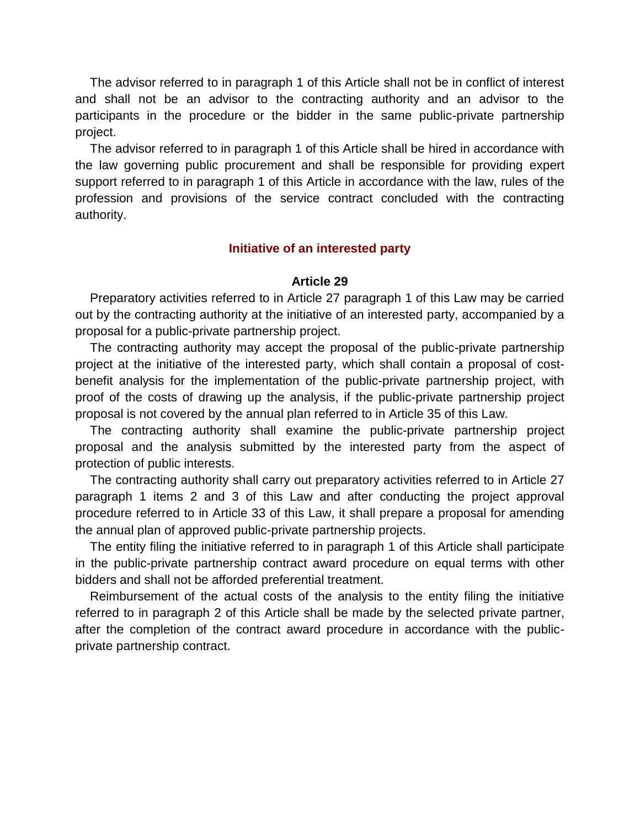The advisor referred to in paragraph 1 of this Article shall not be in conflict of interest and shall not be an advisor to the contracting authority and an advisor to the participants in the procedure or the bidder in the same public-private partnership project.

The advisor referred to in paragraph 1 of this Article shall be hired in accordance with the law governing public procurement and shall be responsible for providing expert support referred to in paragraph 1 of this Article in accordance with the law, rules of the profession and provisions of the service contract concluded with the contracting authority.

## **Initiative of an interested party**

## **Article 29**

Preparatory activities referred to in Article 27 paragraph 1 of this Law may be carried out by the contracting authority at the initiative of an interested party, accompanied by a proposal for a public-private partnership project.

The contracting authority may accept the proposal of the public-private partnership project at the initiative of the interested party, which shall contain a proposal of costbenefit analysis for the implementation of the public-private partnership project, with proof of the costs of drawing up the analysis, if the public-private partnership project proposal is not covered by the annual plan referred to in Article 35 of this Law.

The contracting authority shall examine the public-private partnership project proposal and the analysis submitted by the interested party from the aspect of protection of public interests.

The contracting authority shall carry out preparatory activities referred to in Article 27 paragraph 1 items 2 and 3 of this Law and after conducting the project approval procedure referred to in Article 33 of this Law, it shall prepare a proposal for amending the annual plan of approved public-private partnership projects.

The entity filing the initiative referred to in paragraph 1 of this Article shall participate in the public-private partnership contract award procedure on equal terms with other bidders and shall not be afforded preferential treatment.

Reimbursement of the actual costs of the analysis to the entity filing the initiative referred to in paragraph 2 of this Article shall be made by the selected private partner, after the completion of the contract award procedure in accordance with the publicprivate partnership contract.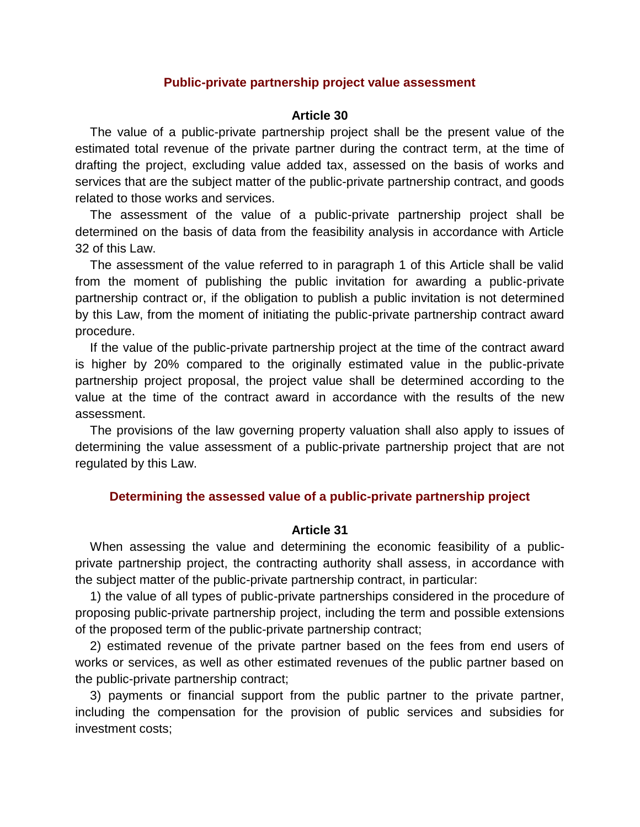### **Public-private partnership project value assessment**

### **Article 30**

The value of a public-private partnership project shall be the present value of the estimated total revenue of the private partner during the contract term, at the time of drafting the project, excluding value added tax, assessed on the basis of works and services that are the subject matter of the public-private partnership contract, and goods related to those works and services.

The assessment of the value of a public-private partnership project shall be determined on the basis of data from the feasibility analysis in accordance with Article 32 of this Law.

The assessment of the value referred to in paragraph 1 of this Article shall be valid from the moment of publishing the public invitation for awarding a public-private partnership contract or, if the obligation to publish a public invitation is not determined by this Law, from the moment of initiating the public-private partnership contract award procedure.

If the value of the public-private partnership project at the time of the contract award is higher by 20% compared to the originally estimated value in the public-private partnership project proposal, the project value shall be determined according to the value at the time of the contract award in accordance with the results of the new assessment.

The provisions of the law governing property valuation shall also apply to issues of determining the value assessment of a public-private partnership project that are not regulated by this Law.

#### **Determining the assessed value of a public-private partnership project**

## **Article 31**

When assessing the value and determining the economic feasibility of a publicprivate partnership project, the contracting authority shall assess, in accordance with the subject matter of the public-private partnership contract, in particular:

1) the value of all types of public-private partnerships considered in the procedure of proposing public-private partnership project, including the term and possible extensions of the proposed term of the public-private partnership contract;

2) estimated revenue of the private partner based on the fees from end users of works or services, as well as other estimated revenues of the public partner based on the public-private partnership contract;

3) payments or financial support from the public partner to the private partner, including the compensation for the provision of public services and subsidies for investment costs;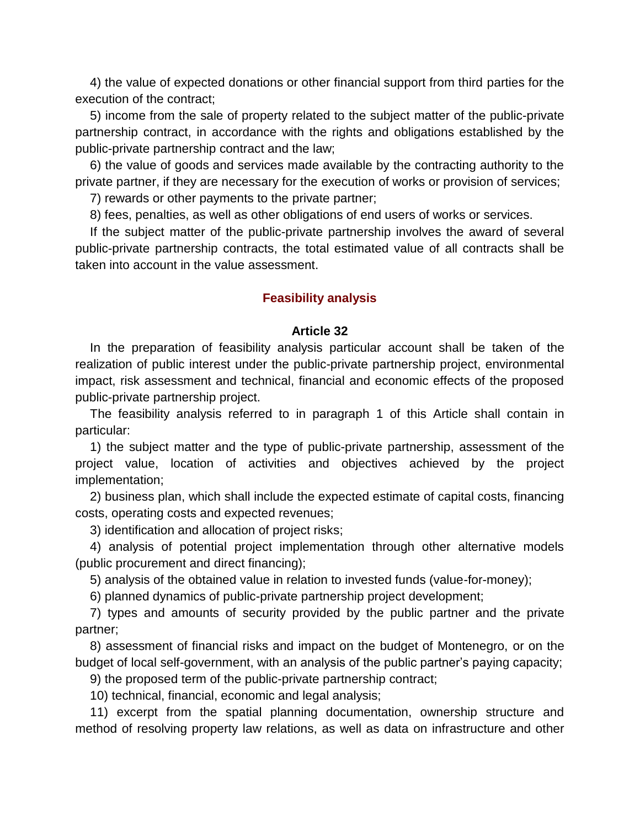4) the value of expected donations or other financial support from third parties for the execution of the contract;

5) income from the sale of property related to the subject matter of the public-private partnership contract, in accordance with the rights and obligations established by the public-private partnership contract and the law;

6) the value of goods and services made available by the contracting authority to the private partner, if they are necessary for the execution of works or provision of services;

7) rewards or other payments to the private partner;

8) fees, penalties, as well as other obligations of end users of works or services.

If the subject matter of the public-private partnership involves the award of several public-private partnership contracts, the total estimated value of all contracts shall be taken into account in the value assessment.

## **Feasibility analysis**

#### **Article 32**

In the preparation of feasibility analysis particular account shall be taken of the realization of public interest under the public-private partnership project, environmental impact, risk assessment and technical, financial and economic effects of the proposed public-private partnership project.

The feasibility analysis referred to in paragraph 1 of this Article shall contain in particular:

1) the subject matter and the type of public-private partnership, assessment of the project value, location of activities and objectives achieved by the project implementation;

2) business plan, which shall include the expected estimate of capital costs, financing costs, operating costs and expected revenues;

3) identification and allocation of project risks;

4) analysis of potential project implementation through other alternative models (public procurement and direct financing);

5) analysis of the obtained value in relation to invested funds (value-for-money);

6) planned dynamics of public-private partnership project development;

7) types and amounts of security provided by the public partner and the private partner;

8) assessment of financial risks and impact on the budget of Montenegro, or on the budget of local self-government, with an analysis of the public partner's paying capacity;

9) the proposed term of the public-private partnership contract;

10) technical, financial, economic and legal analysis;

11) excerpt from the spatial planning documentation, ownership structure and method of resolving property law relations, as well as data on infrastructure and other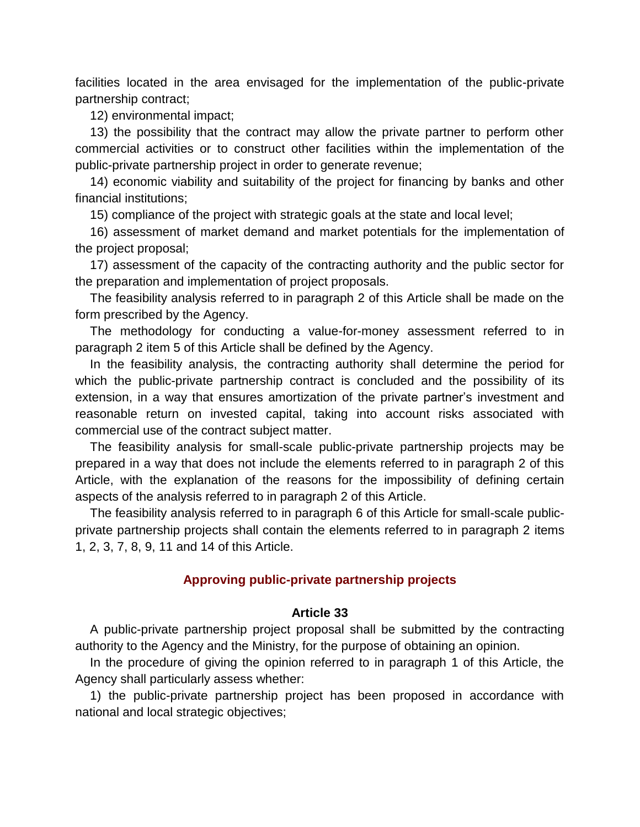facilities located in the area envisaged for the implementation of the public-private partnership contract;

12) environmental impact;

13) the possibility that the contract may allow the private partner to perform other commercial activities or to construct other facilities within the implementation of the public-private partnership project in order to generate revenue;

14) economic viability and suitability of the project for financing by banks and other financial institutions;

15) compliance of the project with strategic goals at the state and local level;

16) assessment of market demand and market potentials for the implementation of the project proposal;

17) assessment of the capacity of the contracting authority and the public sector for the preparation and implementation of project proposals.

The feasibility analysis referred to in paragraph 2 of this Article shall be made on the form prescribed by the Agency.

The methodology for conducting a value-for-money assessment referred to in paragraph 2 item 5 of this Article shall be defined by the Agency.

In the feasibility analysis, the contracting authority shall determine the period for which the public-private partnership contract is concluded and the possibility of its extension, in a way that ensures amortization of the private partner's investment and reasonable return on invested capital, taking into account risks associated with commercial use of the contract subject matter.

The feasibility analysis for small-scale public-private partnership projects may be prepared in a way that does not include the elements referred to in paragraph 2 of this Article, with the explanation of the reasons for the impossibility of defining certain aspects of the analysis referred to in paragraph 2 of this Article.

The feasibility analysis referred to in paragraph 6 of this Article for small-scale publicprivate partnership projects shall contain the elements referred to in paragraph 2 items 1, 2, 3, 7, 8, 9, 11 and 14 of this Article.

## **Approving public-private partnership projects**

#### **Article 33**

A public-private partnership project proposal shall be submitted by the contracting authority to the Agency and the Ministry, for the purpose of obtaining an opinion.

In the procedure of giving the opinion referred to in paragraph 1 of this Article, the Agency shall particularly assess whether:

1) the public-private partnership project has been proposed in accordance with national and local strategic objectives;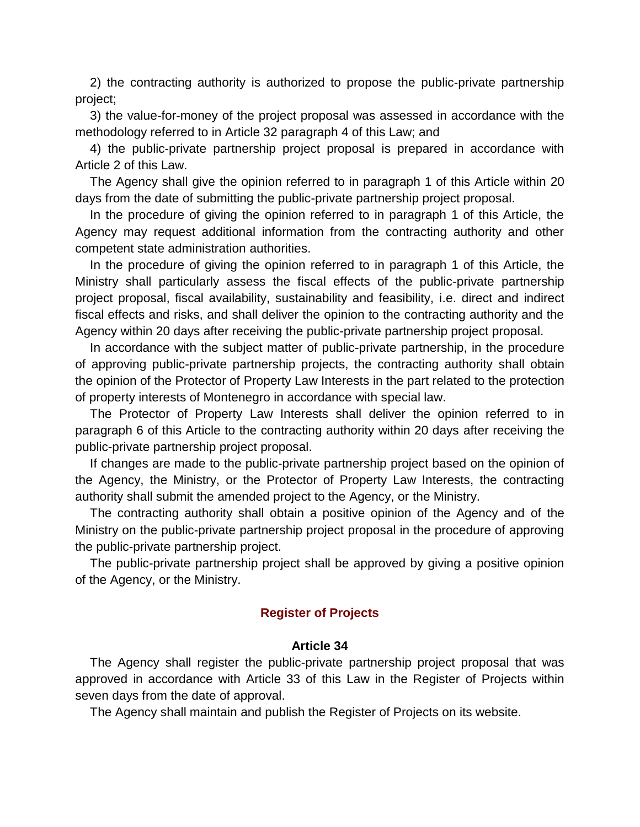2) the contracting authority is authorized to propose the public-private partnership project;

3) the value-for-money of the project proposal was assessed in accordance with the methodology referred to in Article 32 paragraph 4 of this Law; and

4) the public-private partnership project proposal is prepared in accordance with Article 2 of this Law.

The Agency shall give the opinion referred to in paragraph 1 of this Article within 20 days from the date of submitting the public-private partnership project proposal.

In the procedure of giving the opinion referred to in paragraph 1 of this Article, the Agency may request additional information from the contracting authority and other competent state administration authorities.

In the procedure of giving the opinion referred to in paragraph 1 of this Article, the Ministry shall particularly assess the fiscal effects of the public-private partnership project proposal, fiscal availability, sustainability and feasibility, i.e. direct and indirect fiscal effects and risks, and shall deliver the opinion to the contracting authority and the Agency within 20 days after receiving the public-private partnership project proposal.

In accordance with the subject matter of public-private partnership, in the procedure of approving public-private partnership projects, the contracting authority shall obtain the opinion of the Protector of Property Law Interests in the part related to the protection of property interests of Montenegro in accordance with special law.

The Protector of Property Law Interests shall deliver the opinion referred to in paragraph 6 of this Article to the contracting authority within 20 days after receiving the public-private partnership project proposal.

If changes are made to the public-private partnership project based on the opinion of the Agency, the Ministry, or the Protector of Property Law Interests, the contracting authority shall submit the amended project to the Agency, or the Ministry.

The contracting authority shall obtain a positive opinion of the Agency and of the Ministry on the public-private partnership project proposal in the procedure of approving the public-private partnership project.

The public-private partnership project shall be approved by giving a positive opinion of the Agency, or the Ministry.

## **Register of Projects**

### **Article 34**

The Agency shall register the public-private partnership project proposal that was approved in accordance with Article 33 of this Law in the Register of Projects within seven days from the date of approval.

The Agency shall maintain and publish the Register of Projects on its website.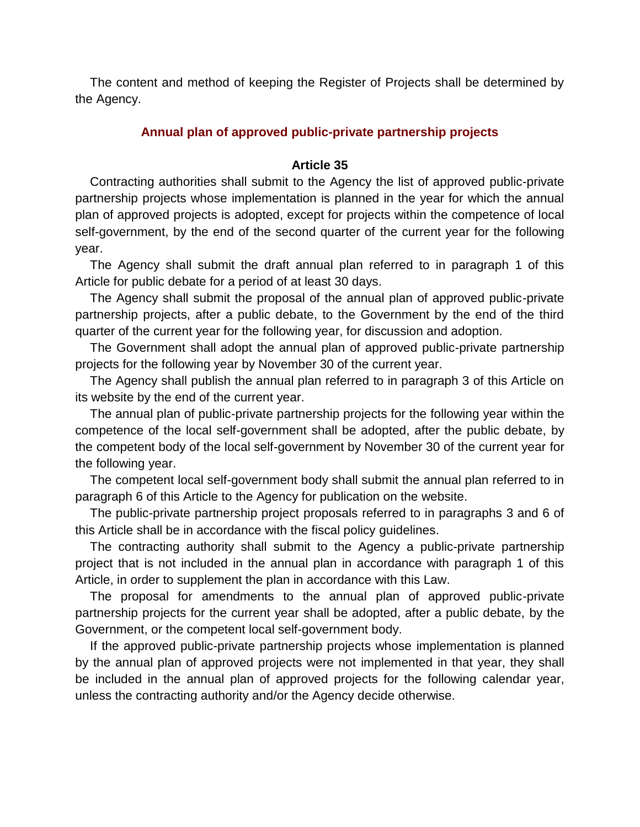The content and method of keeping the Register of Projects shall be determined by the Agency.

## **Annual plan of approved public-private partnership projects**

### **Article 35**

Contracting authorities shall submit to the Agency the list of approved public-private partnership projects whose implementation is planned in the year for which the annual plan of approved projects is adopted, except for projects within the competence of local self-government, by the end of the second quarter of the current year for the following year.

The Agency shall submit the draft annual plan referred to in paragraph 1 of this Article for public debate for a period of at least 30 days.

The Agency shall submit the proposal of the annual plan of approved public-private partnership projects, after a public debate, to the Government by the end of the third quarter of the current year for the following year, for discussion and adoption.

The Government shall adopt the annual plan of approved public-private partnership projects for the following year by November 30 of the current year.

The Agency shall publish the annual plan referred to in paragraph 3 of this Article on its website by the end of the current year.

The annual plan of public-private partnership projects for the following year within the competence of the local self-government shall be adopted, after the public debate, by the competent body of the local self-government by November 30 of the current year for the following year.

The competent local self-government body shall submit the annual plan referred to in paragraph 6 of this Article to the Agency for publication on the website.

The public-private partnership project proposals referred to in paragraphs 3 and 6 of this Article shall be in accordance with the fiscal policy guidelines.

The contracting authority shall submit to the Agency a public-private partnership project that is not included in the annual plan in accordance with paragraph 1 of this Article, in order to supplement the plan in accordance with this Law.

The proposal for amendments to the annual plan of approved public-private partnership projects for the current year shall be adopted, after a public debate, by the Government, or the competent local self-government body.

If the approved public-private partnership projects whose implementation is planned by the annual plan of approved projects were not implemented in that year, they shall be included in the annual plan of approved projects for the following calendar year, unless the contracting authority and/or the Agency decide otherwise.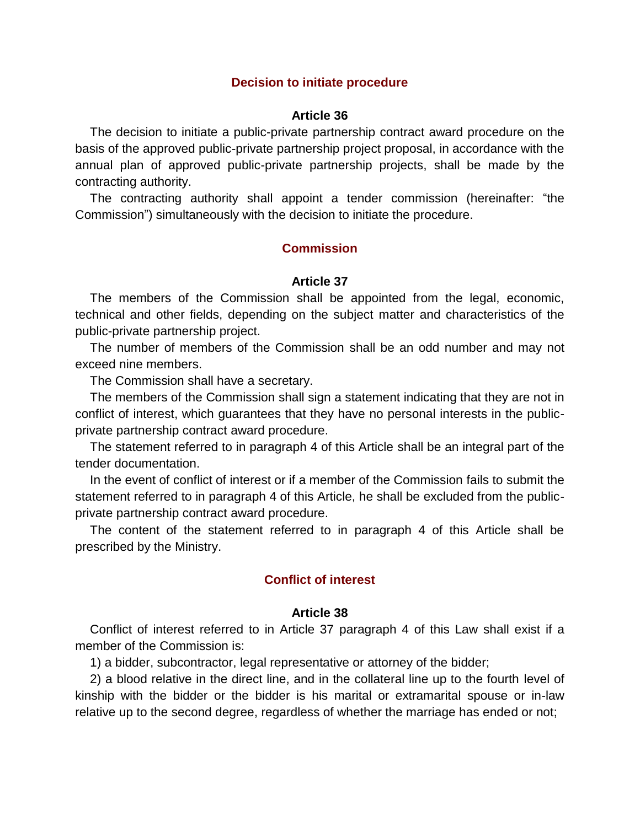### **Decision to initiate procedure**

### **Article 36**

The decision to initiate a public-private partnership contract award procedure on the basis of the approved public-private partnership project proposal, in accordance with the annual plan of approved public-private partnership projects, shall be made by the contracting authority.

The contracting authority shall appoint a tender commission (hereinafter: "the Commission") simultaneously with the decision to initiate the procedure.

### **Commission**

### **Article 37**

The members of the Commission shall be appointed from the legal, economic, technical and other fields, depending on the subject matter and characteristics of the public-private partnership project.

The number of members of the Commission shall be an odd number and may not exceed nine members.

The Commission shall have a secretary.

The members of the Commission shall sign a statement indicating that they are not in conflict of interest, which guarantees that they have no personal interests in the publicprivate partnership contract award procedure.

The statement referred to in paragraph 4 of this Article shall be an integral part of the tender documentation.

In the event of conflict of interest or if a member of the Commission fails to submit the statement referred to in paragraph 4 of this Article, he shall be excluded from the publicprivate partnership contract award procedure.

The content of the statement referred to in paragraph 4 of this Article shall be prescribed by the Ministry.

## **Conflict of interest**

#### **Article 38**

Conflict of interest referred to in Article 37 paragraph 4 of this Law shall exist if a member of the Commission is:

1) a bidder, subcontractor, legal representative or attorney of the bidder;

2) a blood relative in the direct line, and in the collateral line up to the fourth level of kinship with the bidder or the bidder is his marital or extramarital spouse or in-law relative up to the second degree, regardless of whether the marriage has ended or not;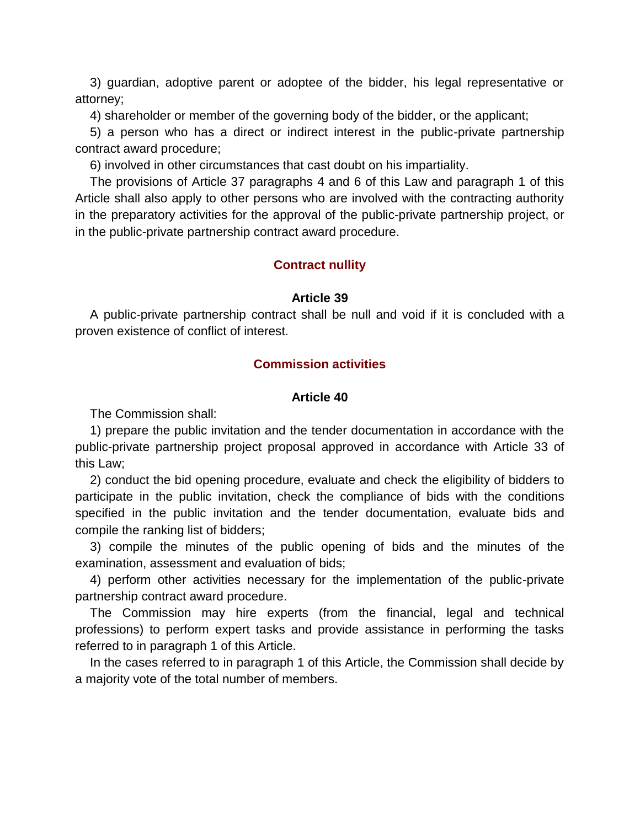3) guardian, adoptive parent or adoptee of the bidder, his legal representative or attorney;

4) shareholder or member of the governing body of the bidder, or the applicant;

5) a person who has a direct or indirect interest in the public-private partnership contract award procedure;

6) involved in other circumstances that cast doubt on his impartiality.

The provisions of Article 37 paragraphs 4 and 6 of this Law and paragraph 1 of this Article shall also apply to other persons who are involved with the contracting authority in the preparatory activities for the approval of the public-private partnership project, or in the public-private partnership contract award procedure.

## **Contract nullity**

#### **Article 39**

A public-private partnership contract shall be null and void if it is concluded with a proven existence of conflict of interest.

## **Commission activities**

### **Article 40**

The Commission shall:

1) prepare the public invitation and the tender documentation in accordance with the public-private partnership project proposal approved in accordance with Article 33 of this Law;

2) conduct the bid opening procedure, evaluate and check the eligibility of bidders to participate in the public invitation, check the compliance of bids with the conditions specified in the public invitation and the tender documentation, evaluate bids and compile the ranking list of bidders;

3) compile the minutes of the public opening of bids and the minutes of the examination, assessment and evaluation of bids;

4) perform other activities necessary for the implementation of the public-private partnership contract award procedure.

The Commission may hire experts (from the financial, legal and technical professions) to perform expert tasks and provide assistance in performing the tasks referred to in paragraph 1 of this Article.

In the cases referred to in paragraph 1 of this Article, the Commission shall decide by a majority vote of the total number of members.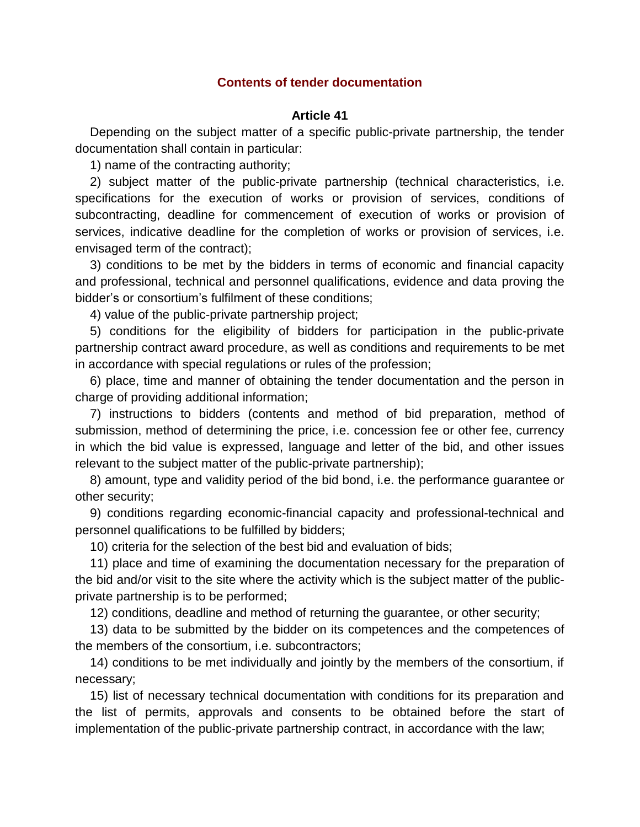## **Contents of tender documentation**

## **Article 41**

Depending on the subject matter of a specific public-private partnership, the tender documentation shall contain in particular:

1) name of the contracting authority;

2) subject matter of the public-private partnership (technical characteristics, i.e. specifications for the execution of works or provision of services, conditions of subcontracting, deadline for commencement of execution of works or provision of services, indicative deadline for the completion of works or provision of services, i.e. envisaged term of the contract);

3) conditions to be met by the bidders in terms of economic and financial capacity and professional, technical and personnel qualifications, evidence and data proving the bidder's or consortium's fulfilment of these conditions;

4) value of the public-private partnership project;

5) conditions for the eligibility of bidders for participation in the public-private partnership contract award procedure, as well as conditions and requirements to be met in accordance with special regulations or rules of the profession;

6) place, time and manner of obtaining the tender documentation and the person in charge of providing additional information;

7) instructions to bidders (contents and method of bid preparation, method of submission, method of determining the price, i.e. concession fee or other fee, currency in which the bid value is expressed, language and letter of the bid, and other issues relevant to the subject matter of the public-private partnership);

8) amount, type and validity period of the bid bond, i.e. the performance guarantee or other security;

9) conditions regarding economic-financial capacity and professional-technical and personnel qualifications to be fulfilled by bidders;

10) criteria for the selection of the best bid and evaluation of bids;

11) place and time of examining the documentation necessary for the preparation of the bid and/or visit to the site where the activity which is the subject matter of the publicprivate partnership is to be performed;

12) conditions, deadline and method of returning the guarantee, or other security;

13) data to be submitted by the bidder on its competences and the competences of the members of the consortium, i.e. subcontractors;

14) conditions to be met individually and jointly by the members of the consortium, if necessary;

15) list of necessary technical documentation with conditions for its preparation and the list of permits, approvals and consents to be obtained before the start of implementation of the public-private partnership contract, in accordance with the law;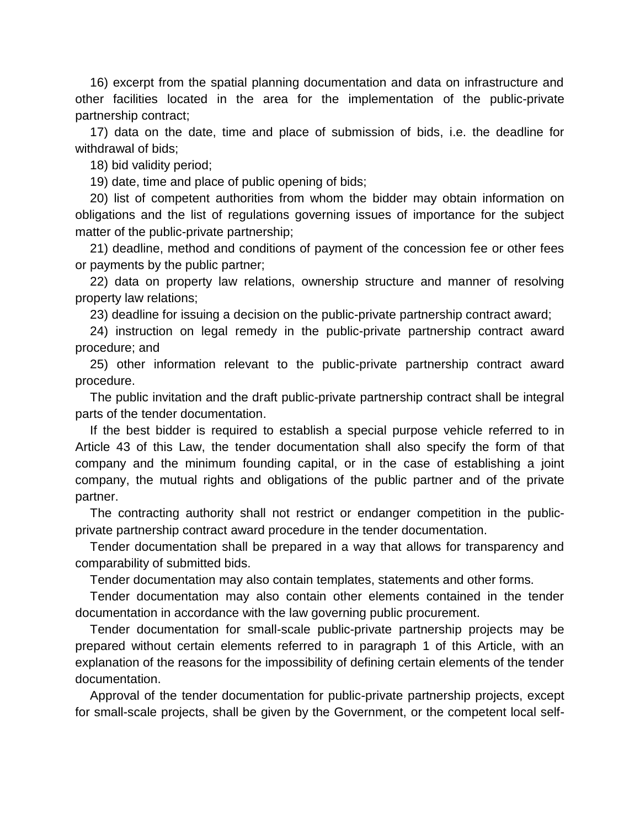16) excerpt from the spatial planning documentation and data on infrastructure and other facilities located in the area for the implementation of the public-private partnership contract;

17) data on the date, time and place of submission of bids, i.e. the deadline for withdrawal of bids;

18) bid validity period;

19) date, time and place of public opening of bids;

20) list of competent authorities from whom the bidder may obtain information on obligations and the list of regulations governing issues of importance for the subject matter of the public-private partnership;

21) deadline, method and conditions of payment of the concession fee or other fees or payments by the public partner;

22) data on property law relations, ownership structure and manner of resolving property law relations;

23) deadline for issuing a decision on the public-private partnership contract award;

24) instruction on legal remedy in the public-private partnership contract award procedure; and

25) other information relevant to the public-private partnership contract award procedure.

The public invitation and the draft public-private partnership contract shall be integral parts of the tender documentation.

If the best bidder is required to establish a special purpose vehicle referred to in Article 43 of this Law, the tender documentation shall also specify the form of that company and the minimum founding capital, or in the case of establishing a joint company, the mutual rights and obligations of the public partner and of the private partner.

The contracting authority shall not restrict or endanger competition in the publicprivate partnership contract award procedure in the tender documentation.

Tender documentation shall be prepared in a way that allows for transparency and comparability of submitted bids.

Tender documentation may also contain templates, statements and other forms.

Tender documentation may also contain other elements contained in the tender documentation in accordance with the law governing public procurement.

Tender documentation for small-scale public-private partnership projects may be prepared without certain elements referred to in paragraph 1 of this Article, with an explanation of the reasons for the impossibility of defining certain elements of the tender documentation.

Approval of the tender documentation for public-private partnership projects, except for small-scale projects, shall be given by the Government, or the competent local self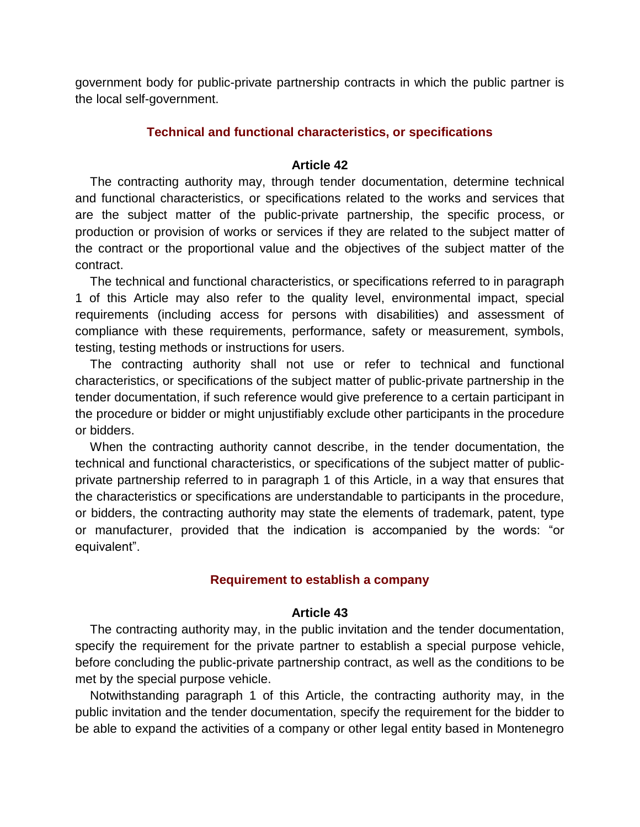government body for public-private partnership contracts in which the public partner is the local self-government.

# **Technical and functional characteristics, or specifications**

## **Article 42**

The contracting authority may, through tender documentation, determine technical and functional characteristics, or specifications related to the works and services that are the subject matter of the public-private partnership, the specific process, or production or provision of works or services if they are related to the subject matter of the contract or the proportional value and the objectives of the subject matter of the contract.

The technical and functional characteristics, or specifications referred to in paragraph 1 of this Article may also refer to the quality level, environmental impact, special requirements (including access for persons with disabilities) and assessment of compliance with these requirements, performance, safety or measurement, symbols, testing, testing methods or instructions for users.

The contracting authority shall not use or refer to technical and functional characteristics, or specifications of the subject matter of public-private partnership in the tender documentation, if such reference would give preference to a certain participant in the procedure or bidder or might unjustifiably exclude other participants in the procedure or bidders.

When the contracting authority cannot describe, in the tender documentation, the technical and functional characteristics, or specifications of the subject matter of publicprivate partnership referred to in paragraph 1 of this Article, in a way that ensures that the characteristics or specifications are understandable to participants in the procedure, or bidders, the contracting authority may state the elements of trademark, patent, type or manufacturer, provided that the indication is accompanied by the words: "or equivalent".

# **Requirement to establish a company**

## **Article 43**

The contracting authority may, in the public invitation and the tender documentation, specify the requirement for the private partner to establish a special purpose vehicle, before concluding the public-private partnership contract, as well as the conditions to be met by the special purpose vehicle.

Notwithstanding paragraph 1 of this Article, the contracting authority may, in the public invitation and the tender documentation, specify the requirement for the bidder to be able to expand the activities of a company or other legal entity based in Montenegro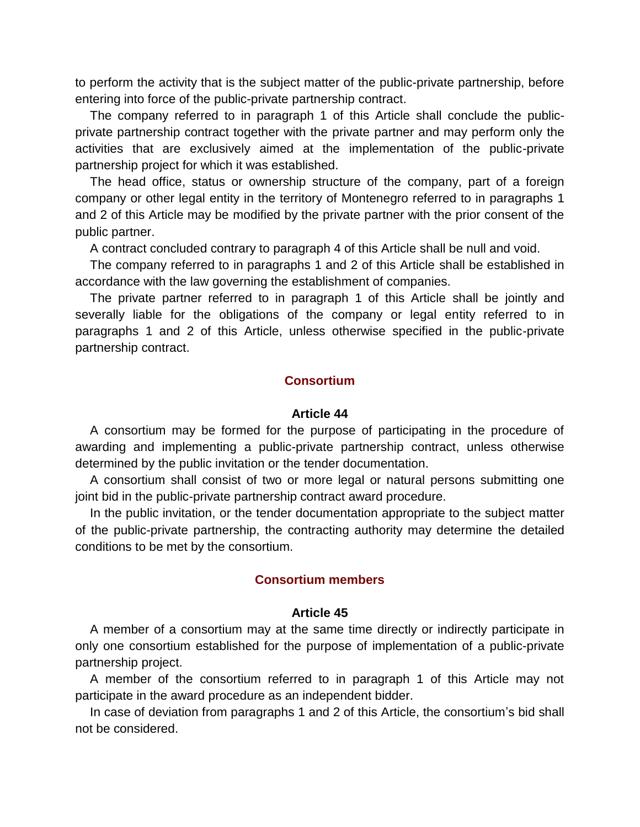to perform the activity that is the subject matter of the public-private partnership, before entering into force of the public-private partnership contract.

The company referred to in paragraph 1 of this Article shall conclude the publicprivate partnership contract together with the private partner and may perform only the activities that are exclusively aimed at the implementation of the public-private partnership project for which it was established.

The head office, status or ownership structure of the company, part of a foreign company or other legal entity in the territory of Montenegro referred to in paragraphs 1 and 2 of this Article may be modified by the private partner with the prior consent of the public partner.

A contract concluded contrary to paragraph 4 of this Article shall be null and void.

The company referred to in paragraphs 1 and 2 of this Article shall be established in accordance with the law governing the establishment of companies.

The private partner referred to in paragraph 1 of this Article shall be jointly and severally liable for the obligations of the company or legal entity referred to in paragraphs 1 and 2 of this Article, unless otherwise specified in the public-private partnership contract.

## **Consortium**

#### **Article 44**

A consortium may be formed for the purpose of participating in the procedure of awarding and implementing a public-private partnership contract, unless otherwise determined by the public invitation or the tender documentation.

A consortium shall consist of two or more legal or natural persons submitting one joint bid in the public-private partnership contract award procedure.

In the public invitation, or the tender documentation appropriate to the subject matter of the public-private partnership, the contracting authority may determine the detailed conditions to be met by the consortium.

### **Consortium members**

#### **Article 45**

A member of a consortium may at the same time directly or indirectly participate in only one consortium established for the purpose of implementation of a public-private partnership project.

A member of the consortium referred to in paragraph 1 of this Article may not participate in the award procedure as an independent bidder.

In case of deviation from paragraphs 1 and 2 of this Article, the consortium's bid shall not be considered.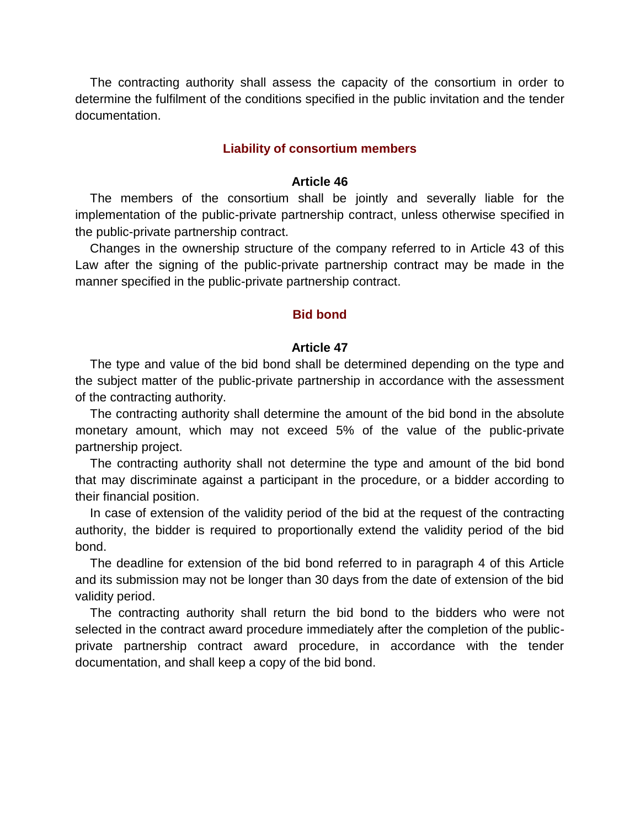The contracting authority shall assess the capacity of the consortium in order to determine the fulfilment of the conditions specified in the public invitation and the tender documentation.

### **Liability of consortium members**

#### **Article 46**

The members of the consortium shall be jointly and severally liable for the implementation of the public-private partnership contract, unless otherwise specified in the public-private partnership contract.

Changes in the ownership structure of the company referred to in Article 43 of this Law after the signing of the public-private partnership contract may be made in the manner specified in the public-private partnership contract.

#### **Bid bond**

#### **Article 47**

The type and value of the bid bond shall be determined depending on the type and the subject matter of the public-private partnership in accordance with the assessment of the contracting authority.

The contracting authority shall determine the amount of the bid bond in the absolute monetary amount, which may not exceed 5% of the value of the public-private partnership project.

The contracting authority shall not determine the type and amount of the bid bond that may discriminate against a participant in the procedure, or a bidder according to their financial position.

In case of extension of the validity period of the bid at the request of the contracting authority, the bidder is required to proportionally extend the validity period of the bid bond.

The deadline for extension of the bid bond referred to in paragraph 4 of this Article and its submission may not be longer than 30 days from the date of extension of the bid validity period.

The contracting authority shall return the bid bond to the bidders who were not selected in the contract award procedure immediately after the completion of the publicprivate partnership contract award procedure, in accordance with the tender documentation, and shall keep a copy of the bid bond.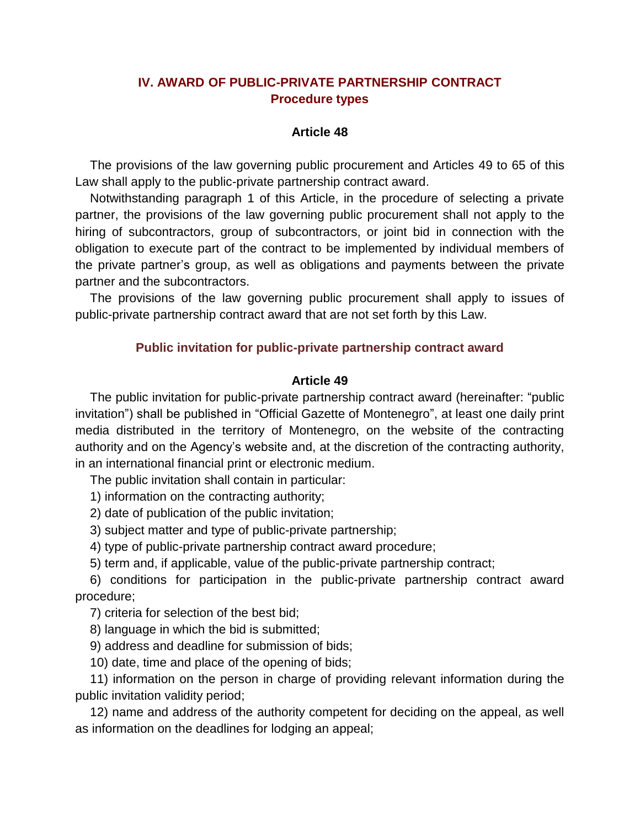# **IV. AWARD OF PUBLIC-PRIVATE PARTNERSHIP CONTRACT Procedure types**

## **Article 48**

The provisions of the law governing public procurement and Articles 49 to 65 of this Law shall apply to the public-private partnership contract award.

Notwithstanding paragraph 1 of this Article, in the procedure of selecting a private partner, the provisions of the law governing public procurement shall not apply to the hiring of subcontractors, group of subcontractors, or joint bid in connection with the obligation to execute part of the contract to be implemented by individual members of the private partner's group, as well as obligations and payments between the private partner and the subcontractors.

The provisions of the law governing public procurement shall apply to issues of public-private partnership contract award that are not set forth by this Law.

# **Public invitation for public-private partnership contract award**

## **Article 49**

The public invitation for public-private partnership contract award (hereinafter: "public invitation") shall be published in "Official Gazette of Montenegro", at least one daily print media distributed in the territory of Montenegro, on the website of the contracting authority and on the Agency's website and, at the discretion of the contracting authority, in an international financial print or electronic medium.

The public invitation shall contain in particular:

1) information on the contracting authority;

2) date of publication of the public invitation;

3) subject matter and type of public-private partnership;

4) type of public-private partnership contract award procedure;

5) term and, if applicable, value of the public-private partnership contract;

6) conditions for participation in the public-private partnership contract award procedure;

7) criteria for selection of the best bid;

8) language in which the bid is submitted;

9) address and deadline for submission of bids;

10) date, time and place of the opening of bids;

11) information on the person in charge of providing relevant information during the public invitation validity period;

12) name and address of the authority competent for deciding on the appeal, as well as information on the deadlines for lodging an appeal;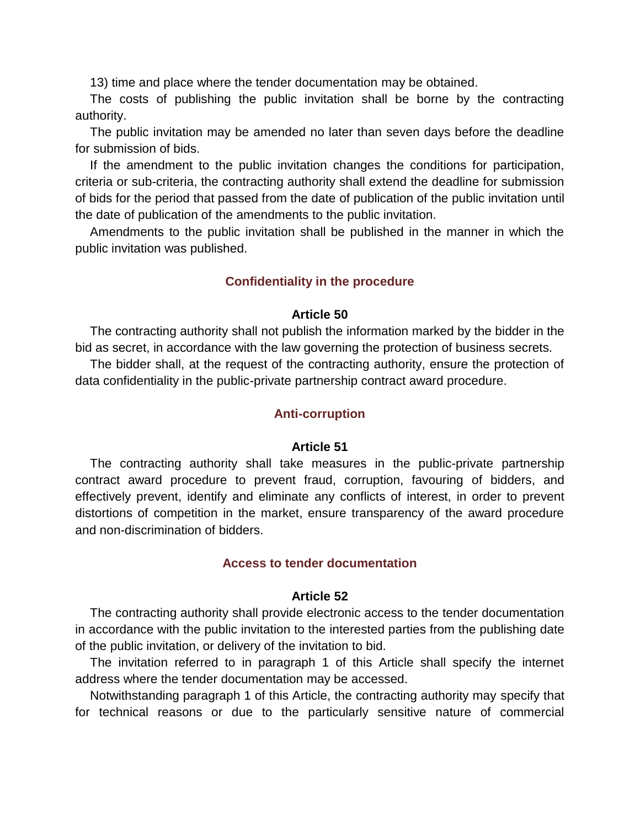13) time and place where the tender documentation may be obtained.

The costs of publishing the public invitation shall be borne by the contracting authority.

The public invitation may be amended no later than seven days before the deadline for submission of bids.

If the amendment to the public invitation changes the conditions for participation, criteria or sub-criteria, the contracting authority shall extend the deadline for submission of bids for the period that passed from the date of publication of the public invitation until the date of publication of the amendments to the public invitation.

Amendments to the public invitation shall be published in the manner in which the public invitation was published.

# **Confidentiality in the procedure**

## **Article 50**

The contracting authority shall not publish the information marked by the bidder in the bid as secret, in accordance with the law governing the protection of business secrets.

The bidder shall, at the request of the contracting authority, ensure the protection of data confidentiality in the public-private partnership contract award procedure.

## **Anti-corruption**

#### **Article 51**

The contracting authority shall take measures in the public-private partnership contract award procedure to prevent fraud, corruption, favouring of bidders, and effectively prevent, identify and eliminate any conflicts of interest, in order to prevent distortions of competition in the market, ensure transparency of the award procedure and non-discrimination of bidders.

### **Access to tender documentation**

### **Article 52**

The contracting authority shall provide electronic access to the tender documentation in accordance with the public invitation to the interested parties from the publishing date of the public invitation, or delivery of the invitation to bid.

The invitation referred to in paragraph 1 of this Article shall specify the internet address where the tender documentation may be accessed.

Notwithstanding paragraph 1 of this Article, the contracting authority may specify that for technical reasons or due to the particularly sensitive nature of commercial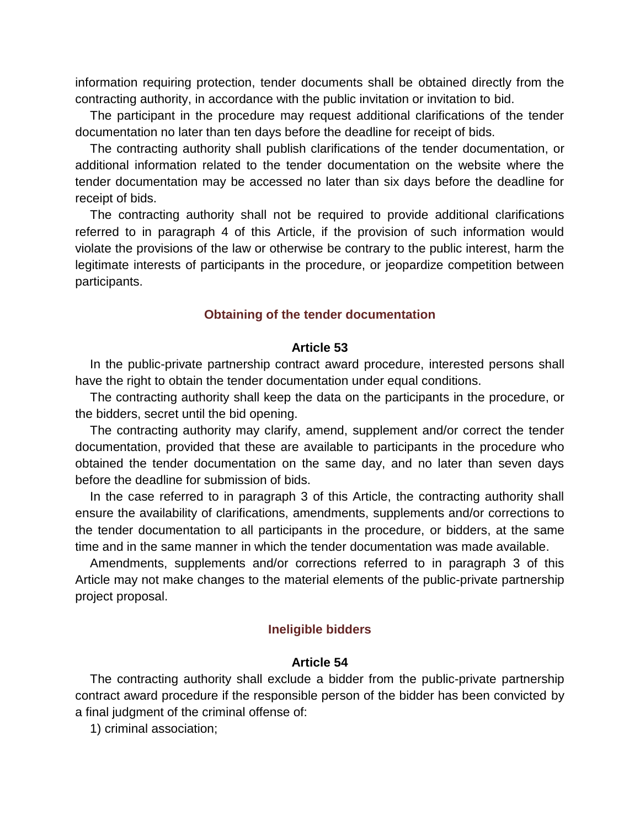information requiring protection, tender documents shall be obtained directly from the contracting authority, in accordance with the public invitation or invitation to bid.

The participant in the procedure may request additional clarifications of the tender documentation no later than ten days before the deadline for receipt of bids.

The contracting authority shall publish clarifications of the tender documentation, or additional information related to the tender documentation on the website where the tender documentation may be accessed no later than six days before the deadline for receipt of bids.

The contracting authority shall not be required to provide additional clarifications referred to in paragraph 4 of this Article, if the provision of such information would violate the provisions of the law or otherwise be contrary to the public interest, harm the legitimate interests of participants in the procedure, or jeopardize competition between participants.

### **Obtaining of the tender documentation**

#### **Article 53**

In the public-private partnership contract award procedure, interested persons shall have the right to obtain the tender documentation under equal conditions.

The contracting authority shall keep the data on the participants in the procedure, or the bidders, secret until the bid opening.

The contracting authority may clarify, amend, supplement and/or correct the tender documentation, provided that these are available to participants in the procedure who obtained the tender documentation on the same day, and no later than seven days before the deadline for submission of bids.

In the case referred to in paragraph 3 of this Article, the contracting authority shall ensure the availability of clarifications, amendments, supplements and/or corrections to the tender documentation to all participants in the procedure, or bidders, at the same time and in the same manner in which the tender documentation was made available.

Amendments, supplements and/or corrections referred to in paragraph 3 of this Article may not make changes to the material elements of the public-private partnership project proposal.

### **Ineligible bidders**

### **Article 54**

The contracting authority shall exclude a bidder from the public-private partnership contract award procedure if the responsible person of the bidder has been convicted by a final judgment of the criminal offense of:

1) criminal association;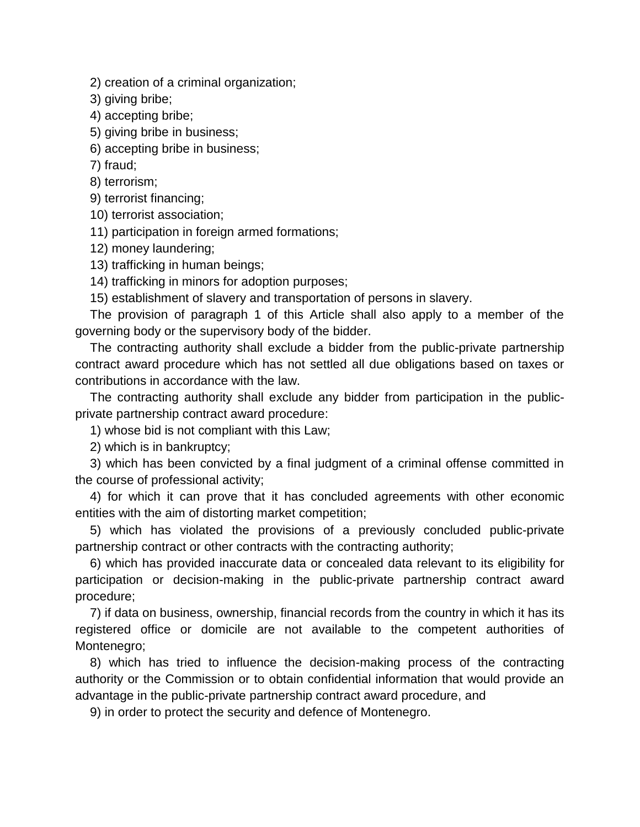2) creation of a criminal organization;

3) giving bribe;

4) accepting bribe;

5) giving bribe in business;

6) accepting bribe in business;

7) fraud;

8) terrorism;

9) terrorist financing;

10) terrorist association;

11) participation in foreign armed formations;

12) money laundering;

13) trafficking in human beings;

14) trafficking in minors for adoption purposes;

15) establishment of slavery and transportation of persons in slavery.

The provision of paragraph 1 of this Article shall also apply to a member of the governing body or the supervisory body of the bidder.

The contracting authority shall exclude a bidder from the public-private partnership contract award procedure which has not settled all due obligations based on taxes or contributions in accordance with the law.

The contracting authority shall exclude any bidder from participation in the publicprivate partnership contract award procedure:

1) whose bid is not compliant with this Law;

2) which is in bankruptcy;

3) which has been convicted by a final judgment of a criminal offense committed in the course of professional activity;

4) for which it can prove that it has concluded agreements with other economic entities with the aim of distorting market competition;

5) which has violated the provisions of a previously concluded public-private partnership contract or other contracts with the contracting authority;

6) which has provided inaccurate data or concealed data relevant to its eligibility for participation or decision-making in the public-private partnership contract award procedure;

7) if data on business, ownership, financial records from the country in which it has its registered office or domicile are not available to the competent authorities of Montenegro;

8) which has tried to influence the decision-making process of the contracting authority or the Commission or to obtain confidential information that would provide an advantage in the public-private partnership contract award procedure, and

9) in order to protect the security and defence of Montenegro.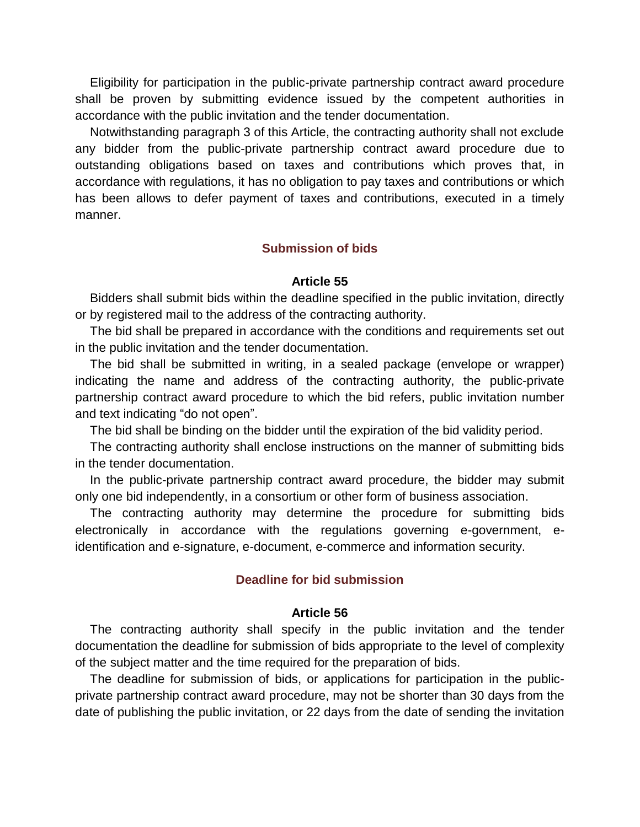Eligibility for participation in the public-private partnership contract award procedure shall be proven by submitting evidence issued by the competent authorities in accordance with the public invitation and the tender documentation.

Notwithstanding paragraph 3 of this Article, the contracting authority shall not exclude any bidder from the public-private partnership contract award procedure due to outstanding obligations based on taxes and contributions which proves that, in accordance with regulations, it has no obligation to pay taxes and contributions or which has been allows to defer payment of taxes and contributions, executed in a timely manner.

## **Submission of bids**

### **Article 55**

Bidders shall submit bids within the deadline specified in the public invitation, directly or by registered mail to the address of the contracting authority.

The bid shall be prepared in accordance with the conditions and requirements set out in the public invitation and the tender documentation.

The bid shall be submitted in writing, in a sealed package (envelope or wrapper) indicating the name and address of the contracting authority, the public-private partnership contract award procedure to which the bid refers, public invitation number and text indicating "do not open".

The bid shall be binding on the bidder until the expiration of the bid validity period.

The contracting authority shall enclose instructions on the manner of submitting bids in the tender documentation.

In the public-private partnership contract award procedure, the bidder may submit only one bid independently, in a consortium or other form of business association.

The contracting authority may determine the procedure for submitting bids electronically in accordance with the regulations governing e-government, eidentification and e-signature, e-document, e-commerce and information security.

## **Deadline for bid submission**

#### **Article 56**

The contracting authority shall specify in the public invitation and the tender documentation the deadline for submission of bids appropriate to the level of complexity of the subject matter and the time required for the preparation of bids.

The deadline for submission of bids, or applications for participation in the publicprivate partnership contract award procedure, may not be shorter than 30 days from the date of publishing the public invitation, or 22 days from the date of sending the invitation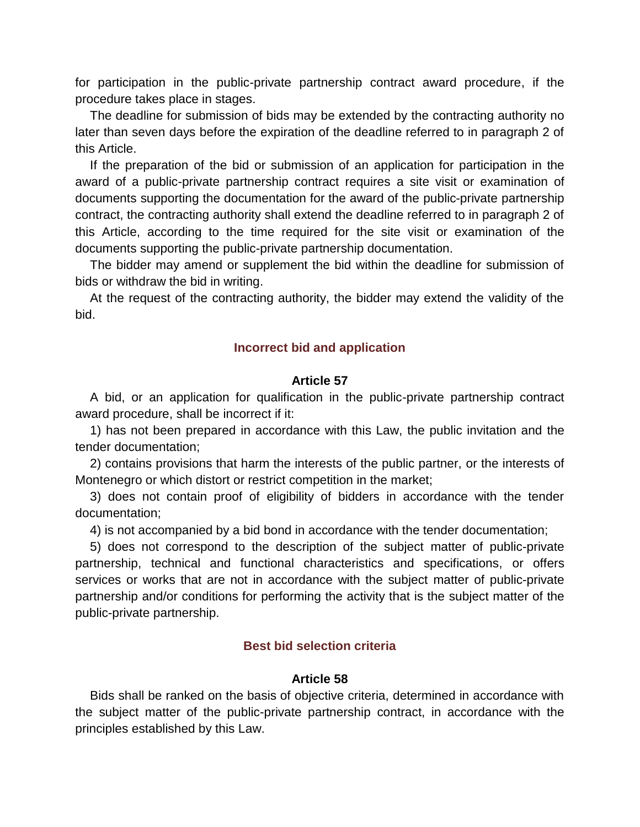for participation in the public-private partnership contract award procedure, if the procedure takes place in stages.

The deadline for submission of bids may be extended by the contracting authority no later than seven days before the expiration of the deadline referred to in paragraph 2 of this Article.

If the preparation of the bid or submission of an application for participation in the award of a public-private partnership contract requires a site visit or examination of documents supporting the documentation for the award of the public-private partnership contract, the contracting authority shall extend the deadline referred to in paragraph 2 of this Article, according to the time required for the site visit or examination of the documents supporting the public-private partnership documentation.

The bidder may amend or supplement the bid within the deadline for submission of bids or withdraw the bid in writing.

At the request of the contracting authority, the bidder may extend the validity of the bid.

# **Incorrect bid and application**

## **Article 57**

A bid, or an application for qualification in the public-private partnership contract award procedure, shall be incorrect if it:

1) has not been prepared in accordance with this Law, the public invitation and the tender documentation;

2) contains provisions that harm the interests of the public partner, or the interests of Montenegro or which distort or restrict competition in the market;

3) does not contain proof of eligibility of bidders in accordance with the tender documentation;

4) is not accompanied by a bid bond in accordance with the tender documentation;

5) does not correspond to the description of the subject matter of public-private partnership, technical and functional characteristics and specifications, or offers services or works that are not in accordance with the subject matter of public-private partnership and/or conditions for performing the activity that is the subject matter of the public-private partnership.

# **Best bid selection criteria**

# **Article 58**

Bids shall be ranked on the basis of objective criteria, determined in accordance with the subject matter of the public-private partnership contract, in accordance with the principles established by this Law.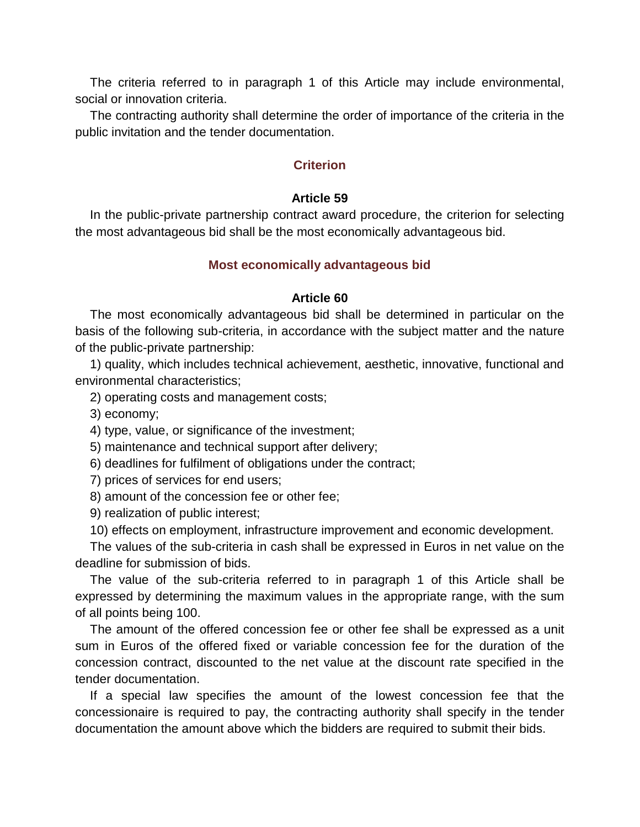The criteria referred to in paragraph 1 of this Article may include environmental, social or innovation criteria.

The contracting authority shall determine the order of importance of the criteria in the public invitation and the tender documentation.

# **Criterion**

# **Article 59**

In the public-private partnership contract award procedure, the criterion for selecting the most advantageous bid shall be the most economically advantageous bid.

## **Most economically advantageous bid**

## **Article 60**

The most economically advantageous bid shall be determined in particular on the basis of the following sub-criteria, in accordance with the subject matter and the nature of the public-private partnership:

1) quality, which includes technical achievement, aesthetic, innovative, functional and environmental characteristics;

2) operating costs and management costs;

3) economy;

4) type, value, or significance of the investment;

5) maintenance and technical support after delivery;

- 6) deadlines for fulfilment of obligations under the contract;
- 7) prices of services for end users;
- 8) amount of the concession fee or other fee;
- 9) realization of public interest;

10) effects on employment, infrastructure improvement and economic development.

The values of the sub-criteria in cash shall be expressed in Euros in net value on the deadline for submission of bids.

The value of the sub-criteria referred to in paragraph 1 of this Article shall be expressed by determining the maximum values in the appropriate range, with the sum of all points being 100.

The amount of the offered concession fee or other fee shall be expressed as a unit sum in Euros of the offered fixed or variable concession fee for the duration of the concession contract, discounted to the net value at the discount rate specified in the tender documentation.

If a special law specifies the amount of the lowest concession fee that the concessionaire is required to pay, the contracting authority shall specify in the tender documentation the amount above which the bidders are required to submit their bids.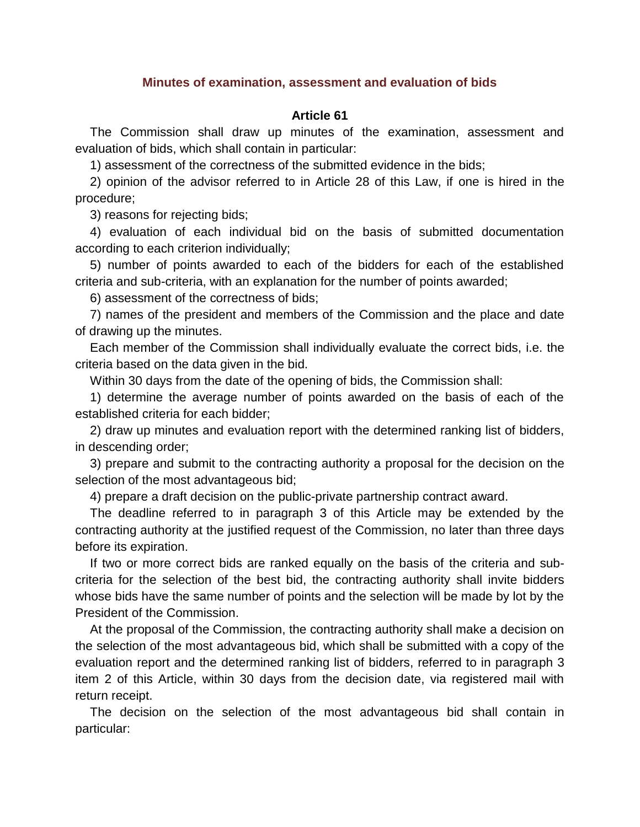## **Minutes of examination, assessment and evaluation of bids**

## **Article 61**

The Commission shall draw up minutes of the examination, assessment and evaluation of bids, which shall contain in particular:

1) assessment of the correctness of the submitted evidence in the bids;

2) opinion of the advisor referred to in Article 28 of this Law, if one is hired in the procedure;

3) reasons for rejecting bids;

4) evaluation of each individual bid on the basis of submitted documentation according to each criterion individually;

5) number of points awarded to each of the bidders for each of the established criteria and sub-criteria, with an explanation for the number of points awarded;

6) assessment of the correctness of bids;

7) names of the president and members of the Commission and the place and date of drawing up the minutes.

Each member of the Commission shall individually evaluate the correct bids, i.e. the criteria based on the data given in the bid.

Within 30 days from the date of the opening of bids, the Commission shall:

1) determine the average number of points awarded on the basis of each of the established criteria for each bidder;

2) draw up minutes and evaluation report with the determined ranking list of bidders, in descending order;

3) prepare and submit to the contracting authority a proposal for the decision on the selection of the most advantageous bid;

4) prepare a draft decision on the public-private partnership contract award.

The deadline referred to in paragraph 3 of this Article may be extended by the contracting authority at the justified request of the Commission, no later than three days before its expiration.

If two or more correct bids are ranked equally on the basis of the criteria and subcriteria for the selection of the best bid, the contracting authority shall invite bidders whose bids have the same number of points and the selection will be made by lot by the President of the Commission.

At the proposal of the Commission, the contracting authority shall make a decision on the selection of the most advantageous bid, which shall be submitted with a copy of the evaluation report and the determined ranking list of bidders, referred to in paragraph 3 item 2 of this Article, within 30 days from the decision date, via registered mail with return receipt.

The decision on the selection of the most advantageous bid shall contain in particular: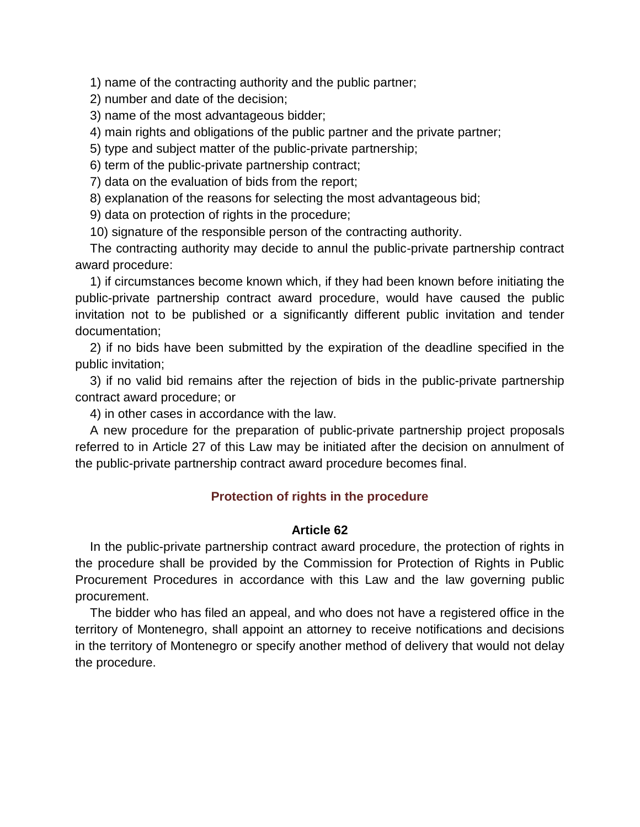1) name of the contracting authority and the public partner;

2) number and date of the decision;

3) name of the most advantageous bidder;

4) main rights and obligations of the public partner and the private partner;

5) type and subject matter of the public-private partnership;

6) term of the public-private partnership contract;

7) data on the evaluation of bids from the report;

8) explanation of the reasons for selecting the most advantageous bid;

9) data on protection of rights in the procedure;

10) signature of the responsible person of the contracting authority.

The contracting authority may decide to annul the public-private partnership contract award procedure:

1) if circumstances become known which, if they had been known before initiating the public-private partnership contract award procedure, would have caused the public invitation not to be published or a significantly different public invitation and tender documentation;

2) if no bids have been submitted by the expiration of the deadline specified in the public invitation;

3) if no valid bid remains after the rejection of bids in the public-private partnership contract award procedure; or

4) in other cases in accordance with the law.

A new procedure for the preparation of public-private partnership project proposals referred to in Article 27 of this Law may be initiated after the decision on annulment of the public-private partnership contract award procedure becomes final.

# **Protection of rights in the procedure**

## **Article 62**

In the public-private partnership contract award procedure, the protection of rights in the procedure shall be provided by the Commission for Protection of Rights in Public Procurement Procedures in accordance with this Law and the law governing public procurement.

The bidder who has filed an appeal, and who does not have a registered office in the territory of Montenegro, shall appoint an attorney to receive notifications and decisions in the territory of Montenegro or specify another method of delivery that would not delay the procedure.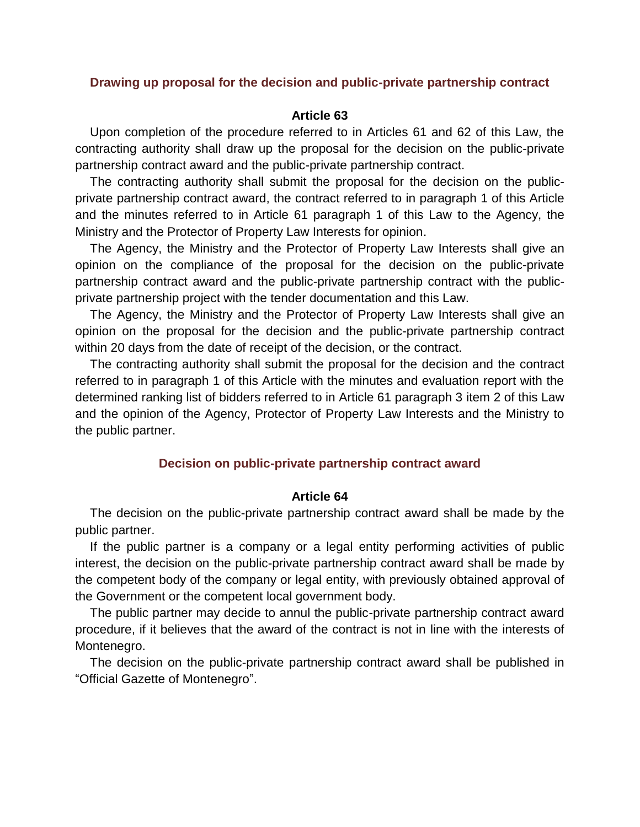### **Drawing up proposal for the decision and public-private partnership contract**

### **Article 63**

Upon completion of the procedure referred to in Articles 61 and 62 of this Law, the contracting authority shall draw up the proposal for the decision on the public-private partnership contract award and the public-private partnership contract.

The contracting authority shall submit the proposal for the decision on the publicprivate partnership contract award, the contract referred to in paragraph 1 of this Article and the minutes referred to in Article 61 paragraph 1 of this Law to the Agency, the Ministry and the Protector of Property Law Interests for opinion.

The Agency, the Ministry and the Protector of Property Law Interests shall give an opinion on the compliance of the proposal for the decision on the public-private partnership contract award and the public-private partnership contract with the publicprivate partnership project with the tender documentation and this Law.

The Agency, the Ministry and the Protector of Property Law Interests shall give an opinion on the proposal for the decision and the public-private partnership contract within 20 days from the date of receipt of the decision, or the contract.

The contracting authority shall submit the proposal for the decision and the contract referred to in paragraph 1 of this Article with the minutes and evaluation report with the determined ranking list of bidders referred to in Article 61 paragraph 3 item 2 of this Law and the opinion of the Agency, Protector of Property Law Interests and the Ministry to the public partner.

## **Decision on public-private partnership contract award**

#### **Article 64**

The decision on the public-private partnership contract award shall be made by the public partner.

If the public partner is a company or a legal entity performing activities of public interest, the decision on the public-private partnership contract award shall be made by the competent body of the company or legal entity, with previously obtained approval of the Government or the competent local government body.

The public partner may decide to annul the public-private partnership contract award procedure, if it believes that the award of the contract is not in line with the interests of Montenegro.

The decision on the public-private partnership contract award shall be published in "Official Gazette of Montenegro".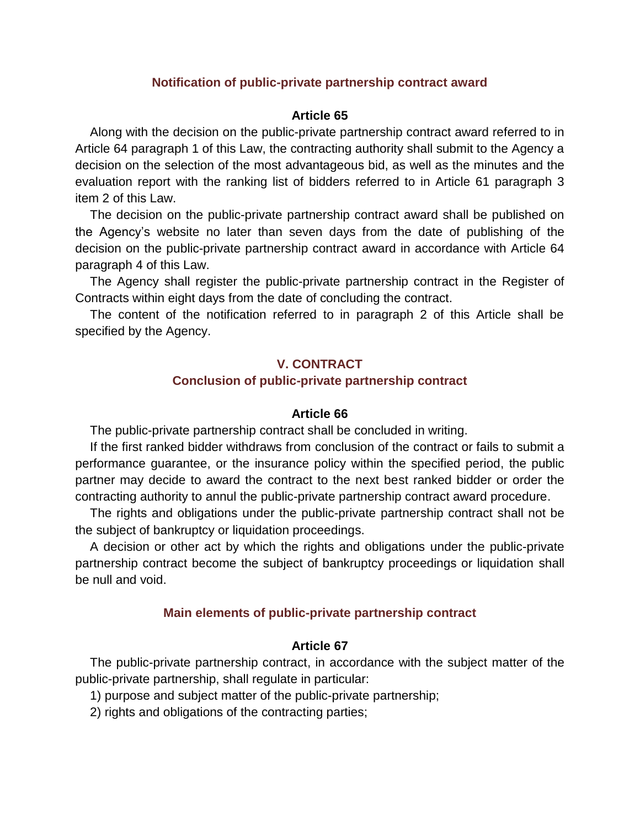## **Notification of public-private partnership contract award**

## **Article 65**

Along with the decision on the public-private partnership contract award referred to in Article 64 paragraph 1 of this Law, the contracting authority shall submit to the Agency a decision on the selection of the most advantageous bid, as well as the minutes and the evaluation report with the ranking list of bidders referred to in Article 61 paragraph 3 item 2 of this Law.

The decision on the public-private partnership contract award shall be published on the Agency's website no later than seven days from the date of publishing of the decision on the public-private partnership contract award in accordance with Article 64 paragraph 4 of this Law.

The Agency shall register the public-private partnership contract in the Register of Contracts within eight days from the date of concluding the contract.

The content of the notification referred to in paragraph 2 of this Article shall be specified by the Agency.

## **V. CONTRACT**

### **Conclusion of public-private partnership contract**

### **Article 66**

The public-private partnership contract shall be concluded in writing.

If the first ranked bidder withdraws from conclusion of the contract or fails to submit a performance guarantee, or the insurance policy within the specified period, the public partner may decide to award the contract to the next best ranked bidder or order the contracting authority to annul the public-private partnership contract award procedure.

The rights and obligations under the public-private partnership contract shall not be the subject of bankruptcy or liquidation proceedings.

A decision or other act by which the rights and obligations under the public-private partnership contract become the subject of bankruptcy proceedings or liquidation shall be null and void.

## **Main elements of public-private partnership contract**

### **Article 67**

The public-private partnership contract, in accordance with the subject matter of the public-private partnership, shall regulate in particular:

1) purpose and subject matter of the public-private partnership;

2) rights and obligations of the contracting parties;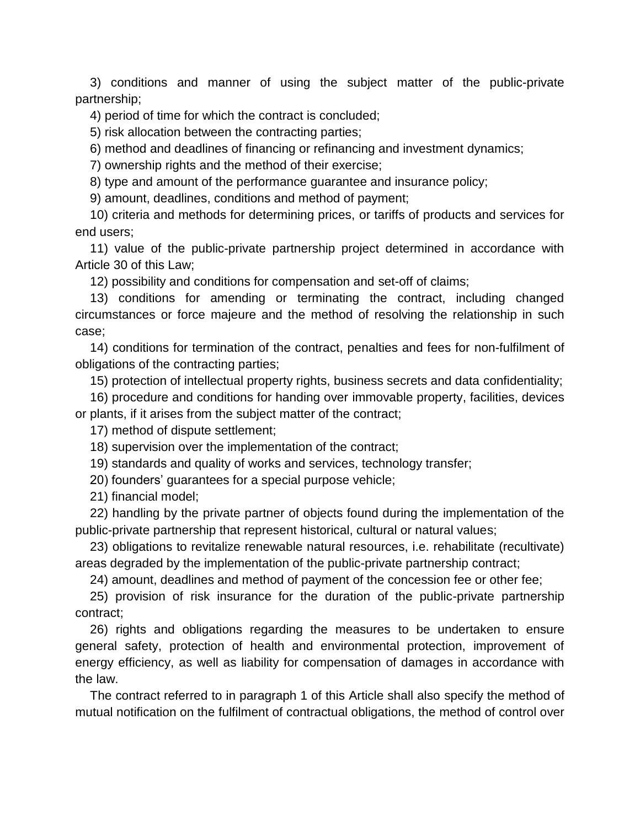3) conditions and manner of using the subject matter of the public-private partnership;

4) period of time for which the contract is concluded;

5) risk allocation between the contracting parties;

6) method and deadlines of financing or refinancing and investment dynamics;

7) ownership rights and the method of their exercise;

8) type and amount of the performance guarantee and insurance policy;

9) amount, deadlines, conditions and method of payment;

10) criteria and methods for determining prices, or tariffs of products and services for end users;

11) value of the public-private partnership project determined in accordance with Article 30 of this Law;

12) possibility and conditions for compensation and set-off of claims;

13) conditions for amending or terminating the contract, including changed circumstances or force majeure and the method of resolving the relationship in such case;

14) conditions for termination of the contract, penalties and fees for non-fulfilment of obligations of the contracting parties;

15) protection of intellectual property rights, business secrets and data confidentiality;

16) procedure and conditions for handing over immovable property, facilities, devices or plants, if it arises from the subject matter of the contract;

17) method of dispute settlement;

18) supervision over the implementation of the contract;

19) standards and quality of works and services, technology transfer;

20) founders' guarantees for a special purpose vehicle;

21) financial model;

22) handling by the private partner of objects found during the implementation of the public-private partnership that represent historical, cultural or natural values;

23) obligations to revitalize renewable natural resources, i.e. rehabilitate (recultivate) areas degraded by the implementation of the public-private partnership contract;

24) amount, deadlines and method of payment of the concession fee or other fee;

25) provision of risk insurance for the duration of the public-private partnership contract;

26) rights and obligations regarding the measures to be undertaken to ensure general safety, protection of health and environmental protection, improvement of energy efficiency, as well as liability for compensation of damages in accordance with the law.

The contract referred to in paragraph 1 of this Article shall also specify the method of mutual notification on the fulfilment of contractual obligations, the method of control over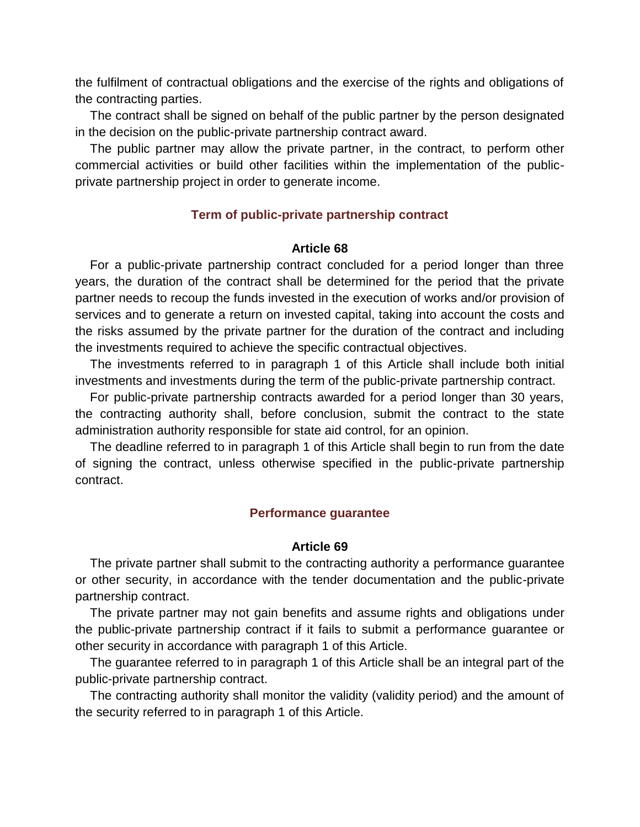the fulfilment of contractual obligations and the exercise of the rights and obligations of the contracting parties.

The contract shall be signed on behalf of the public partner by the person designated in the decision on the public-private partnership contract award.

The public partner may allow the private partner, in the contract, to perform other commercial activities or build other facilities within the implementation of the publicprivate partnership project in order to generate income.

# **Term of public-private partnership contract**

## **Article 68**

For a public-private partnership contract concluded for a period longer than three years, the duration of the contract shall be determined for the period that the private partner needs to recoup the funds invested in the execution of works and/or provision of services and to generate a return on invested capital, taking into account the costs and the risks assumed by the private partner for the duration of the contract and including the investments required to achieve the specific contractual objectives.

The investments referred to in paragraph 1 of this Article shall include both initial investments and investments during the term of the public-private partnership contract.

For public-private partnership contracts awarded for a period longer than 30 years, the contracting authority shall, before conclusion, submit the contract to the state administration authority responsible for state aid control, for an opinion.

The deadline referred to in paragraph 1 of this Article shall begin to run from the date of signing the contract, unless otherwise specified in the public-private partnership contract.

# **Performance guarantee**

## **Article 69**

The private partner shall submit to the contracting authority a performance guarantee or other security, in accordance with the tender documentation and the public-private partnership contract.

The private partner may not gain benefits and assume rights and obligations under the public-private partnership contract if it fails to submit a performance guarantee or other security in accordance with paragraph 1 of this Article.

The guarantee referred to in paragraph 1 of this Article shall be an integral part of the public-private partnership contract.

The contracting authority shall monitor the validity (validity period) and the amount of the security referred to in paragraph 1 of this Article.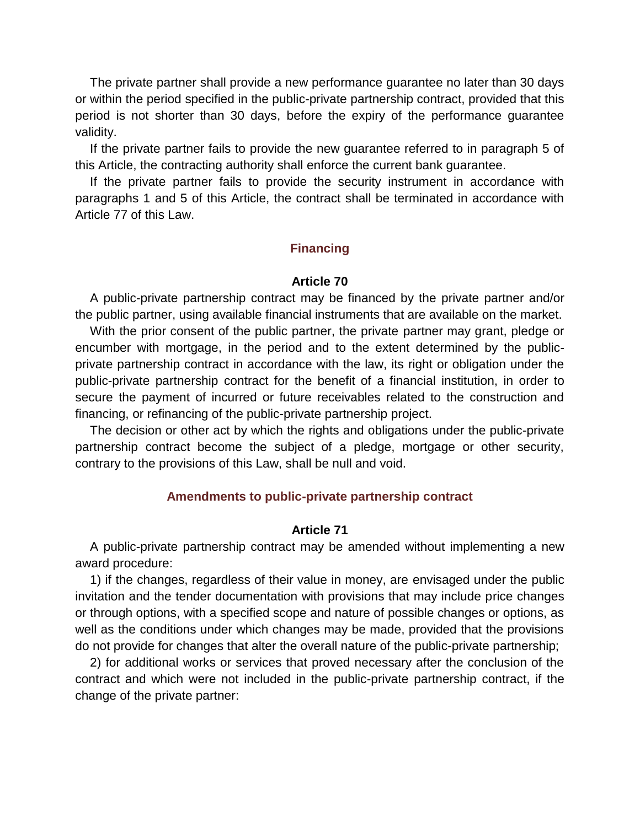The private partner shall provide a new performance guarantee no later than 30 days or within the period specified in the public-private partnership contract, provided that this period is not shorter than 30 days, before the expiry of the performance guarantee validity.

If the private partner fails to provide the new guarantee referred to in paragraph 5 of this Article, the contracting authority shall enforce the current bank guarantee.

If the private partner fails to provide the security instrument in accordance with paragraphs 1 and 5 of this Article, the contract shall be terminated in accordance with Article 77 of this Law.

# **Financing**

## **Article 70**

A public-private partnership contract may be financed by the private partner and/or the public partner, using available financial instruments that are available on the market.

With the prior consent of the public partner, the private partner may grant, pledge or encumber with mortgage, in the period and to the extent determined by the publicprivate partnership contract in accordance with the law, its right or obligation under the public-private partnership contract for the benefit of a financial institution, in order to secure the payment of incurred or future receivables related to the construction and financing, or refinancing of the public-private partnership project.

The decision or other act by which the rights and obligations under the public-private partnership contract become the subject of a pledge, mortgage or other security, contrary to the provisions of this Law, shall be null and void.

## **Amendments to public-private partnership contract**

## **Article 71**

A public-private partnership contract may be amended without implementing a new award procedure:

1) if the changes, regardless of their value in money, are envisaged under the public invitation and the tender documentation with provisions that may include price changes or through options, with a specified scope and nature of possible changes or options, as well as the conditions under which changes may be made, provided that the provisions do not provide for changes that alter the overall nature of the public-private partnership;

2) for additional works or services that proved necessary after the conclusion of the contract and which were not included in the public-private partnership contract, if the change of the private partner: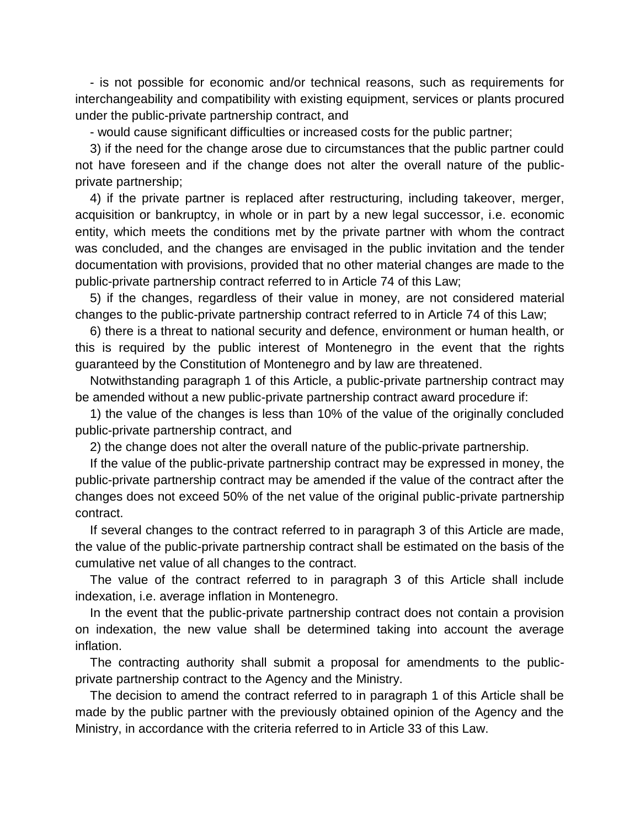- is not possible for economic and/or technical reasons, such as requirements for interchangeability and compatibility with existing equipment, services or plants procured under the public-private partnership contract, and

- would cause significant difficulties or increased costs for the public partner;

3) if the need for the change arose due to circumstances that the public partner could not have foreseen and if the change does not alter the overall nature of the publicprivate partnership;

4) if the private partner is replaced after restructuring, including takeover, merger, acquisition or bankruptcy, in whole or in part by a new legal successor, i.e. economic entity, which meets the conditions met by the private partner with whom the contract was concluded, and the changes are envisaged in the public invitation and the tender documentation with provisions, provided that no other material changes are made to the public-private partnership contract referred to in Article 74 of this Law;

5) if the changes, regardless of their value in money, are not considered material changes to the public-private partnership contract referred to in Article 74 of this Law;

6) there is a threat to national security and defence, environment or human health, or this is required by the public interest of Montenegro in the event that the rights guaranteed by the Constitution of Montenegro and by law are threatened.

Notwithstanding paragraph 1 of this Article, a public-private partnership contract may be amended without a new public-private partnership contract award procedure if:

1) the value of the changes is less than 10% of the value of the originally concluded public-private partnership contract, and

2) the change does not alter the overall nature of the public-private partnership.

If the value of the public-private partnership contract may be expressed in money, the public-private partnership contract may be amended if the value of the contract after the changes does not exceed 50% of the net value of the original public-private partnership contract.

If several changes to the contract referred to in paragraph 3 of this Article are made, the value of the public-private partnership contract shall be estimated on the basis of the cumulative net value of all changes to the contract.

The value of the contract referred to in paragraph 3 of this Article shall include indexation, i.e. average inflation in Montenegro.

In the event that the public-private partnership contract does not contain a provision on indexation, the new value shall be determined taking into account the average inflation.

The contracting authority shall submit a proposal for amendments to the publicprivate partnership contract to the Agency and the Ministry.

The decision to amend the contract referred to in paragraph 1 of this Article shall be made by the public partner with the previously obtained opinion of the Agency and the Ministry, in accordance with the criteria referred to in Article 33 of this Law.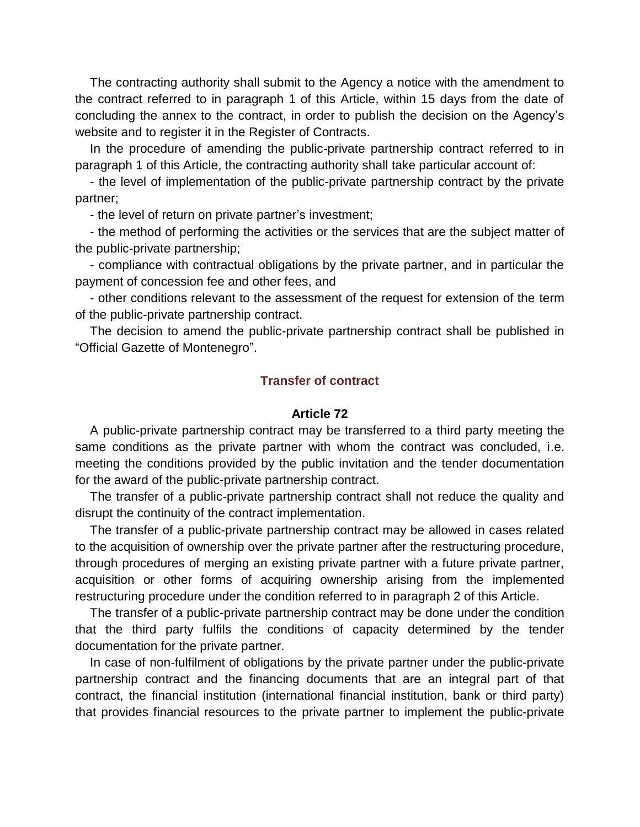The contracting authority shall submit to the Agency a notice with the amendment to the contract referred to in paragraph 1 of this Article, within 15 days from the date of concluding the annex to the contract, in order to publish the decision on the Agency's website and to register it in the Register of Contracts.

In the procedure of amending the public-private partnership contract referred to in paragraph 1 of this Article, the contracting authority shall take particular account of:

- the level of implementation of the public-private partnership contract by the private partner;

- the level of return on private partner's investment;

- the method of performing the activities or the services that are the subject matter of the public-private partnership;

- compliance with contractual obligations by the private partner, and in particular the payment of concession fee and other fees, and

- other conditions relevant to the assessment of the request for extension of the term of the public-private partnership contract.

The decision to amend the public-private partnership contract shall be published in "Official Gazette of Montenegro".

## **Transfer of contract**

## **Article 72**

A public-private partnership contract may be transferred to a third party meeting the same conditions as the private partner with whom the contract was concluded, i.e. meeting the conditions provided by the public invitation and the tender documentation for the award of the public-private partnership contract.

The transfer of a public-private partnership contract shall not reduce the quality and disrupt the continuity of the contract implementation.

The transfer of a public-private partnership contract may be allowed in cases related to the acquisition of ownership over the private partner after the restructuring procedure, through procedures of merging an existing private partner with a future private partner, acquisition or other forms of acquiring ownership arising from the implemented restructuring procedure under the condition referred to in paragraph 2 of this Article.

The transfer of a public-private partnership contract may be done under the condition that the third party fulfils the conditions of capacity determined by the tender documentation for the private partner.

In case of non-fulfilment of obligations by the private partner under the public-private partnership contract and the financing documents that are an integral part of that contract, the financial institution (international financial institution, bank or third party) that provides financial resources to the private partner to implement the public-private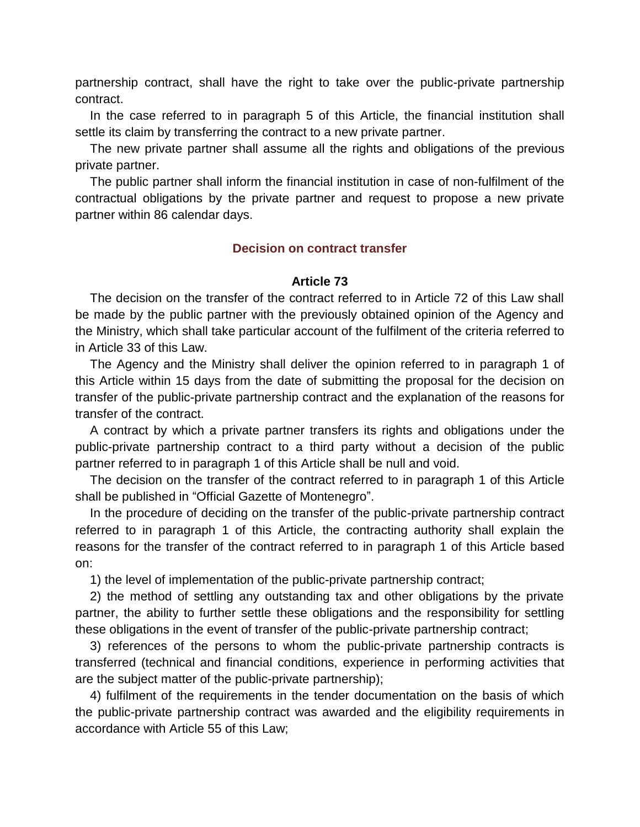partnership contract, shall have the right to take over the public-private partnership contract.

In the case referred to in paragraph 5 of this Article, the financial institution shall settle its claim by transferring the contract to a new private partner.

The new private partner shall assume all the rights and obligations of the previous private partner.

The public partner shall inform the financial institution in case of non-fulfilment of the contractual obligations by the private partner and request to propose a new private partner within 86 calendar days.

# **Decision on contract transfer**

# **Article 73**

The decision on the transfer of the contract referred to in Article 72 of this Law shall be made by the public partner with the previously obtained opinion of the Agency and the Ministry, which shall take particular account of the fulfilment of the criteria referred to in Article 33 of this Law.

The Agency and the Ministry shall deliver the opinion referred to in paragraph 1 of this Article within 15 days from the date of submitting the proposal for the decision on transfer of the public-private partnership contract and the explanation of the reasons for transfer of the contract.

A contract by which a private partner transfers its rights and obligations under the public-private partnership contract to a third party without a decision of the public partner referred to in paragraph 1 of this Article shall be null and void.

The decision on the transfer of the contract referred to in paragraph 1 of this Article shall be published in "Official Gazette of Montenegro".

In the procedure of deciding on the transfer of the public-private partnership contract referred to in paragraph 1 of this Article, the contracting authority shall explain the reasons for the transfer of the contract referred to in paragraph 1 of this Article based on:

1) the level of implementation of the public-private partnership contract;

2) the method of settling any outstanding tax and other obligations by the private partner, the ability to further settle these obligations and the responsibility for settling these obligations in the event of transfer of the public-private partnership contract;

3) references of the persons to whom the public-private partnership contracts is transferred (technical and financial conditions, experience in performing activities that are the subject matter of the public-private partnership);

4) fulfilment of the requirements in the tender documentation on the basis of which the public-private partnership contract was awarded and the eligibility requirements in accordance with Article 55 of this Law;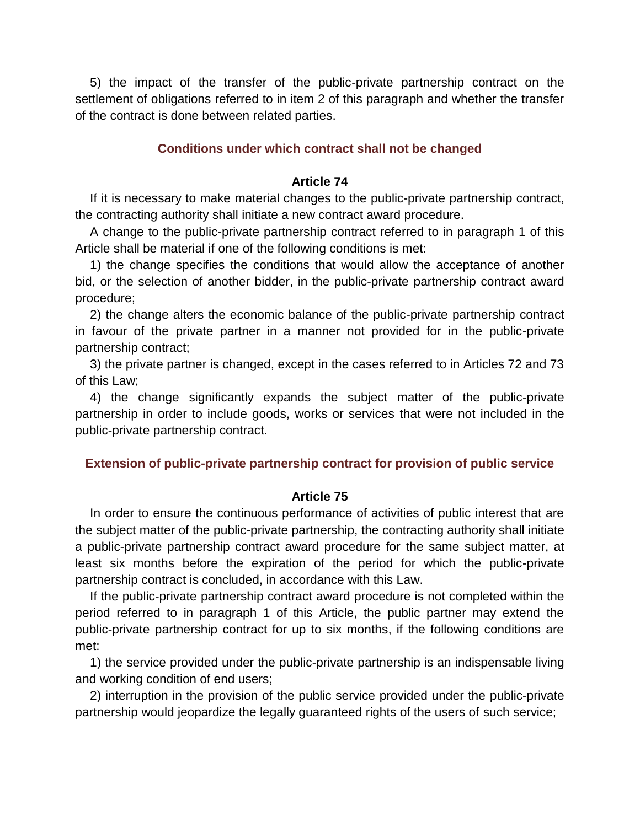5) the impact of the transfer of the public-private partnership contract on the settlement of obligations referred to in item 2 of this paragraph and whether the transfer of the contract is done between related parties.

## **Conditions under which contract shall not be changed**

## **Article 74**

If it is necessary to make material changes to the public-private partnership contract, the contracting authority shall initiate a new contract award procedure.

A change to the public-private partnership contract referred to in paragraph 1 of this Article shall be material if one of the following conditions is met:

1) the change specifies the conditions that would allow the acceptance of another bid, or the selection of another bidder, in the public-private partnership contract award procedure;

2) the change alters the economic balance of the public-private partnership contract in favour of the private partner in a manner not provided for in the public-private partnership contract;

3) the private partner is changed, except in the cases referred to in Articles 72 and 73 of this Law;

4) the change significantly expands the subject matter of the public-private partnership in order to include goods, works or services that were not included in the public-private partnership contract.

### **Extension of public-private partnership contract for provision of public service**

#### **Article 75**

In order to ensure the continuous performance of activities of public interest that are the subject matter of the public-private partnership, the contracting authority shall initiate a public-private partnership contract award procedure for the same subject matter, at least six months before the expiration of the period for which the public-private partnership contract is concluded, in accordance with this Law.

If the public-private partnership contract award procedure is not completed within the period referred to in paragraph 1 of this Article, the public partner may extend the public-private partnership contract for up to six months, if the following conditions are met:

1) the service provided under the public-private partnership is an indispensable living and working condition of end users;

2) interruption in the provision of the public service provided under the public-private partnership would jeopardize the legally guaranteed rights of the users of such service;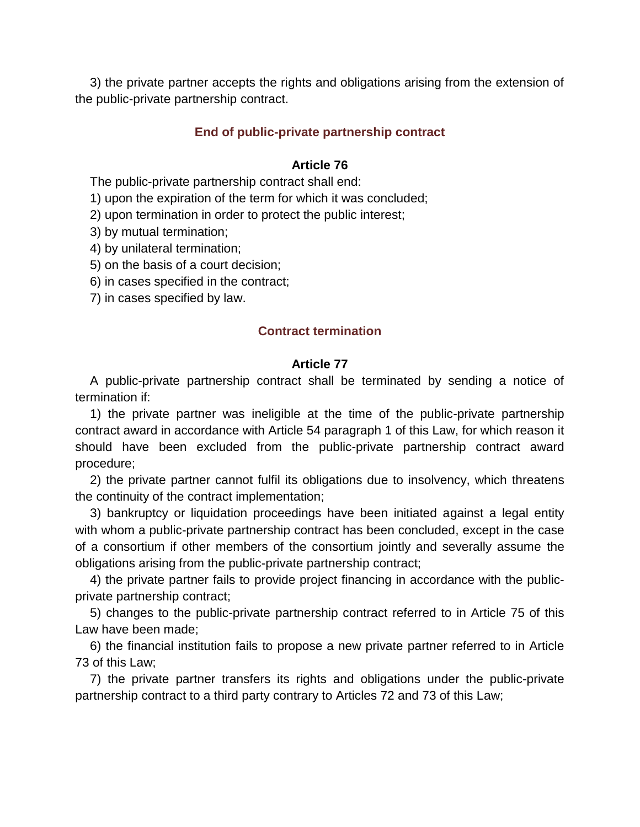3) the private partner accepts the rights and obligations arising from the extension of the public-private partnership contract.

# **End of public-private partnership contract**

# **Article 76**

The public-private partnership contract shall end:

1) upon the expiration of the term for which it was concluded;

2) upon termination in order to protect the public interest;

3) by mutual termination;

4) by unilateral termination;

5) on the basis of a court decision;

6) in cases specified in the contract;

7) in cases specified by law.

## **Contract termination**

## **Article 77**

A public-private partnership contract shall be terminated by sending a notice of termination if:

1) the private partner was ineligible at the time of the public-private partnership contract award in accordance with Article 54 paragraph 1 of this Law, for which reason it should have been excluded from the public-private partnership contract award procedure;

2) the private partner cannot fulfil its obligations due to insolvency, which threatens the continuity of the contract implementation;

3) bankruptcy or liquidation proceedings have been initiated against a legal entity with whom a public-private partnership contract has been concluded, except in the case of a consortium if other members of the consortium jointly and severally assume the obligations arising from the public-private partnership contract;

4) the private partner fails to provide project financing in accordance with the publicprivate partnership contract;

5) changes to the public-private partnership contract referred to in Article 75 of this Law have been made;

6) the financial institution fails to propose a new private partner referred to in Article 73 of this Law;

7) the private partner transfers its rights and obligations under the public-private partnership contract to a third party contrary to Articles 72 and 73 of this Law;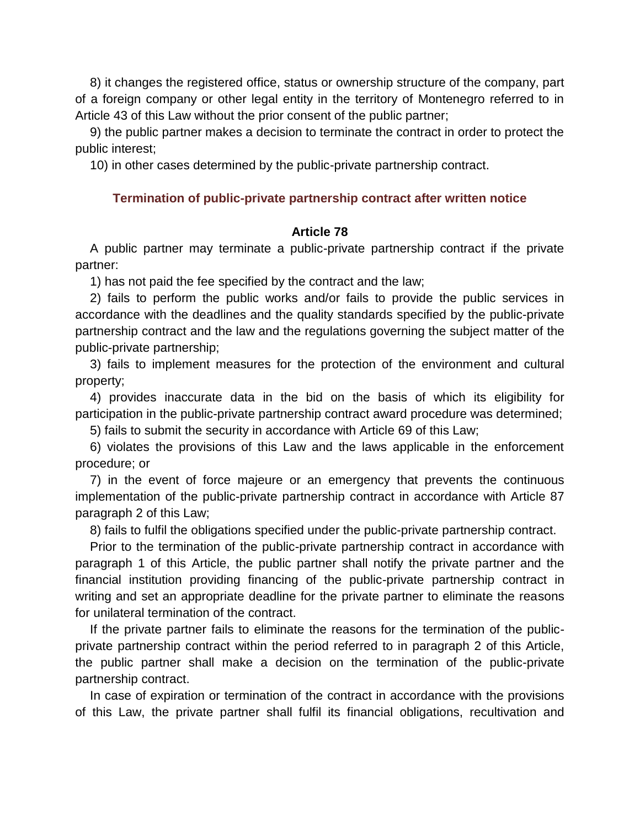8) it changes the registered office, status or ownership structure of the company, part of a foreign company or other legal entity in the territory of Montenegro referred to in Article 43 of this Law without the prior consent of the public partner;

9) the public partner makes a decision to terminate the contract in order to protect the public interest;

10) in other cases determined by the public-private partnership contract.

## **Termination of public-private partnership contract after written notice**

## **Article 78**

A public partner may terminate a public-private partnership contract if the private partner:

1) has not paid the fee specified by the contract and the law;

2) fails to perform the public works and/or fails to provide the public services in accordance with the deadlines and the quality standards specified by the public-private partnership contract and the law and the regulations governing the subject matter of the public-private partnership;

3) fails to implement measures for the protection of the environment and cultural property;

4) provides inaccurate data in the bid on the basis of which its eligibility for participation in the public-private partnership contract award procedure was determined;

5) fails to submit the security in accordance with Article 69 of this Law;

6) violates the provisions of this Law and the laws applicable in the enforcement procedure; or

7) in the event of force majeure or an emergency that prevents the continuous implementation of the public-private partnership contract in accordance with Article 87 paragraph 2 of this Law;

8) fails to fulfil the obligations specified under the public-private partnership contract.

Prior to the termination of the public-private partnership contract in accordance with paragraph 1 of this Article, the public partner shall notify the private partner and the financial institution providing financing of the public-private partnership contract in writing and set an appropriate deadline for the private partner to eliminate the reasons for unilateral termination of the contract.

If the private partner fails to eliminate the reasons for the termination of the publicprivate partnership contract within the period referred to in paragraph 2 of this Article, the public partner shall make a decision on the termination of the public-private partnership contract.

In case of expiration or termination of the contract in accordance with the provisions of this Law, the private partner shall fulfil its financial obligations, recultivation and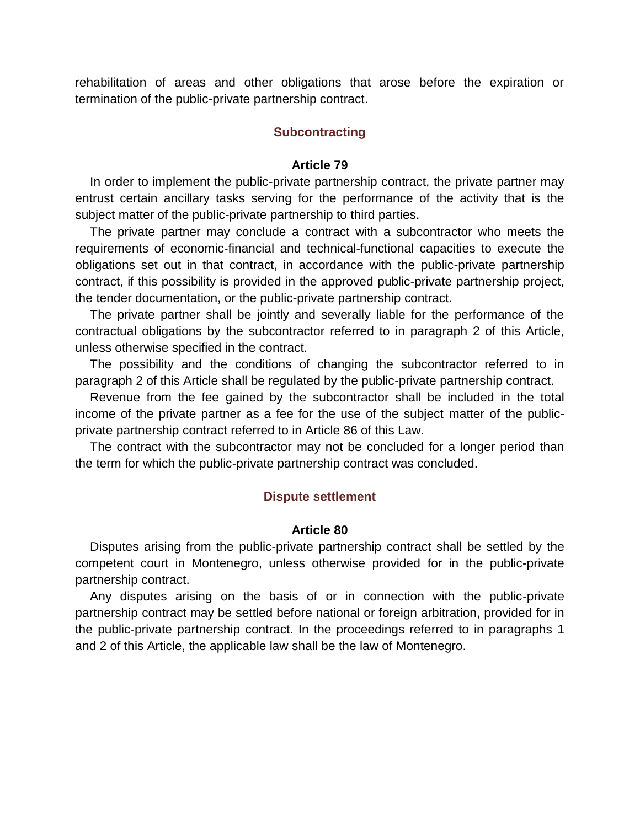rehabilitation of areas and other obligations that arose before the expiration or termination of the public-private partnership contract.

### **Subcontracting**

#### **Article 79**

In order to implement the public-private partnership contract, the private partner may entrust certain ancillary tasks serving for the performance of the activity that is the subject matter of the public-private partnership to third parties.

The private partner may conclude a contract with a subcontractor who meets the requirements of economic-financial and technical-functional capacities to execute the obligations set out in that contract, in accordance with the public-private partnership contract, if this possibility is provided in the approved public-private partnership project, the tender documentation, or the public-private partnership contract.

The private partner shall be jointly and severally liable for the performance of the contractual obligations by the subcontractor referred to in paragraph 2 of this Article, unless otherwise specified in the contract.

The possibility and the conditions of changing the subcontractor referred to in paragraph 2 of this Article shall be regulated by the public-private partnership contract.

Revenue from the fee gained by the subcontractor shall be included in the total income of the private partner as a fee for the use of the subject matter of the publicprivate partnership contract referred to in Article 86 of this Law.

The contract with the subcontractor may not be concluded for a longer period than the term for which the public-private partnership contract was concluded.

#### **Dispute settlement**

#### **Article 80**

Disputes arising from the public-private partnership contract shall be settled by the competent court in Montenegro, unless otherwise provided for in the public-private partnership contract.

Any disputes arising on the basis of or in connection with the public-private partnership contract may be settled before national or foreign arbitration, provided for in the public-private partnership contract. In the proceedings referred to in paragraphs 1 and 2 of this Article, the applicable law shall be the law of Montenegro.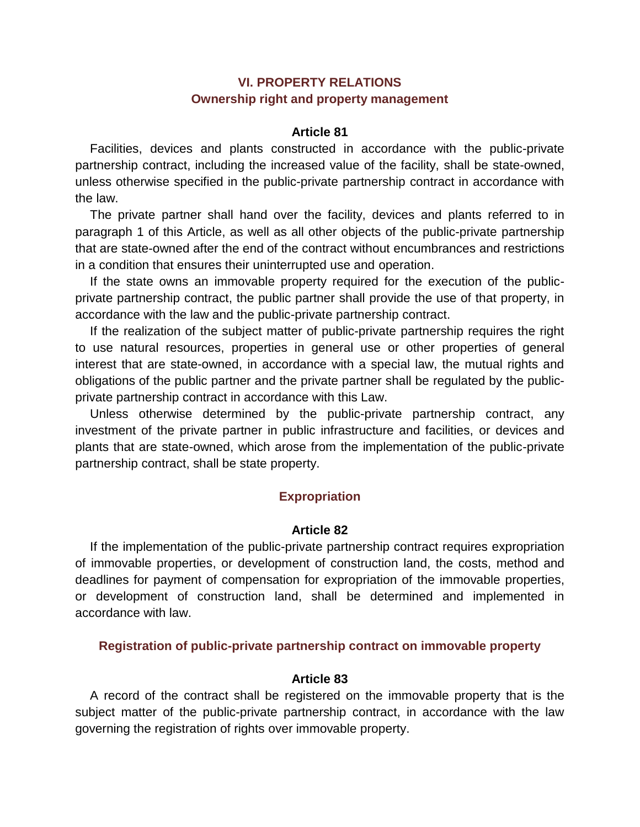# **VI. PROPERTY RELATIONS Ownership right and property management**

## **Article 81**

Facilities, devices and plants constructed in accordance with the public-private partnership contract, including the increased value of the facility, shall be state-owned, unless otherwise specified in the public-private partnership contract in accordance with the law.

The private partner shall hand over the facility, devices and plants referred to in paragraph 1 of this Article, as well as all other objects of the public-private partnership that are state-owned after the end of the contract without encumbrances and restrictions in a condition that ensures their uninterrupted use and operation.

If the state owns an immovable property required for the execution of the publicprivate partnership contract, the public partner shall provide the use of that property, in accordance with the law and the public-private partnership contract.

If the realization of the subject matter of public-private partnership requires the right to use natural resources, properties in general use or other properties of general interest that are state-owned, in accordance with a special law, the mutual rights and obligations of the public partner and the private partner shall be regulated by the publicprivate partnership contract in accordance with this Law.

Unless otherwise determined by the public-private partnership contract, any investment of the private partner in public infrastructure and facilities, or devices and plants that are state-owned, which arose from the implementation of the public-private partnership contract, shall be state property.

# **Expropriation**

## **Article 82**

If the implementation of the public-private partnership contract requires expropriation of immovable properties, or development of construction land, the costs, method and deadlines for payment of compensation for expropriation of the immovable properties, or development of construction land, shall be determined and implemented in accordance with law.

## **Registration of public-private partnership contract on immovable property**

## **Article 83**

A record of the contract shall be registered on the immovable property that is the subject matter of the public-private partnership contract, in accordance with the law governing the registration of rights over immovable property.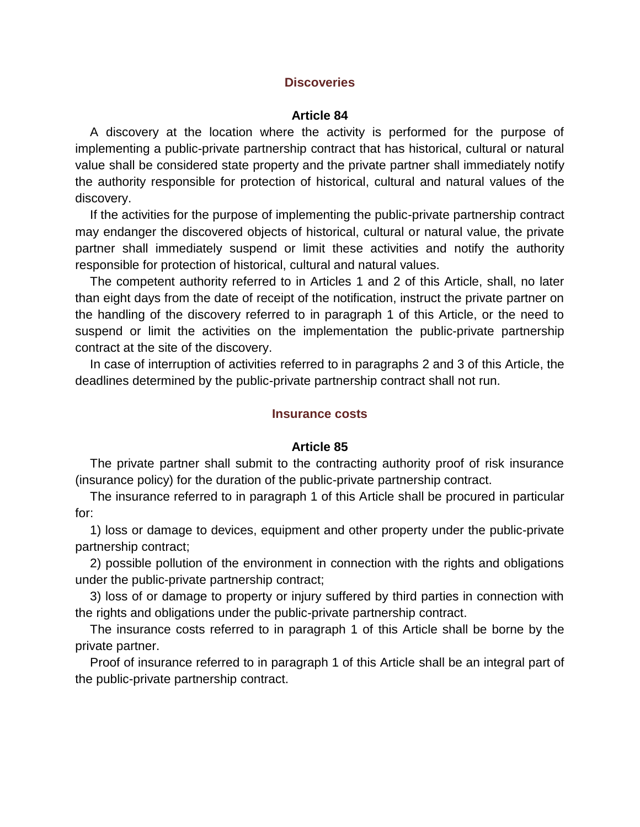## **Discoveries**

### **Article 84**

A discovery at the location where the activity is performed for the purpose of implementing a public-private partnership contract that has historical, cultural or natural value shall be considered state property and the private partner shall immediately notify the authority responsible for protection of historical, cultural and natural values of the discovery.

If the activities for the purpose of implementing the public-private partnership contract may endanger the discovered objects of historical, cultural or natural value, the private partner shall immediately suspend or limit these activities and notify the authority responsible for protection of historical, cultural and natural values.

The competent authority referred to in Articles 1 and 2 of this Article, shall, no later than eight days from the date of receipt of the notification, instruct the private partner on the handling of the discovery referred to in paragraph 1 of this Article, or the need to suspend or limit the activities on the implementation the public-private partnership contract at the site of the discovery.

In case of interruption of activities referred to in paragraphs 2 and 3 of this Article, the deadlines determined by the public-private partnership contract shall not run.

### **Insurance costs**

#### **Article 85**

The private partner shall submit to the contracting authority proof of risk insurance (insurance policy) for the duration of the public-private partnership contract.

The insurance referred to in paragraph 1 of this Article shall be procured in particular for:

1) loss or damage to devices, equipment and other property under the public-private partnership contract;

2) possible pollution of the environment in connection with the rights and obligations under the public-private partnership contract;

3) loss of or damage to property or injury suffered by third parties in connection with the rights and obligations under the public-private partnership contract.

The insurance costs referred to in paragraph 1 of this Article shall be borne by the private partner.

Proof of insurance referred to in paragraph 1 of this Article shall be an integral part of the public-private partnership contract.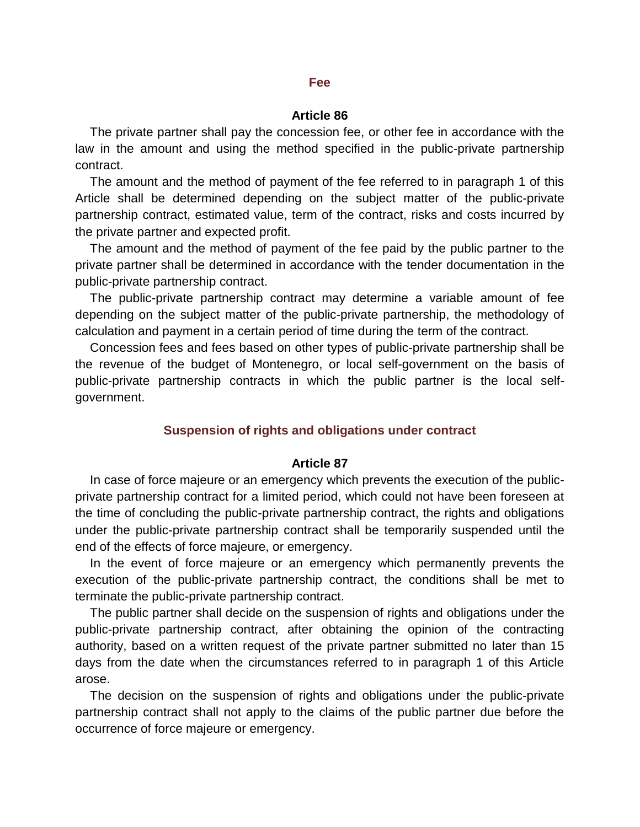#### **Fee**

### **Article 86**

The private partner shall pay the concession fee, or other fee in accordance with the law in the amount and using the method specified in the public-private partnership contract.

The amount and the method of payment of the fee referred to in paragraph 1 of this Article shall be determined depending on the subject matter of the public-private partnership contract, estimated value, term of the contract, risks and costs incurred by the private partner and expected profit.

The amount and the method of payment of the fee paid by the public partner to the private partner shall be determined in accordance with the tender documentation in the public-private partnership contract.

The public-private partnership contract may determine a variable amount of fee depending on the subject matter of the public-private partnership, the methodology of calculation and payment in a certain period of time during the term of the contract.

Concession fees and fees based on other types of public-private partnership shall be the revenue of the budget of Montenegro, or local self-government on the basis of public-private partnership contracts in which the public partner is the local selfgovernment.

#### **Suspension of rights and obligations under contract**

#### **Article 87**

In case of force majeure or an emergency which prevents the execution of the publicprivate partnership contract for a limited period, which could not have been foreseen at the time of concluding the public-private partnership contract, the rights and obligations under the public-private partnership contract shall be temporarily suspended until the end of the effects of force majeure, or emergency.

In the event of force majeure or an emergency which permanently prevents the execution of the public-private partnership contract, the conditions shall be met to terminate the public-private partnership contract.

The public partner shall decide on the suspension of rights and obligations under the public-private partnership contract, after obtaining the opinion of the contracting authority, based on a written request of the private partner submitted no later than 15 days from the date when the circumstances referred to in paragraph 1 of this Article arose.

The decision on the suspension of rights and obligations under the public-private partnership contract shall not apply to the claims of the public partner due before the occurrence of force majeure or emergency.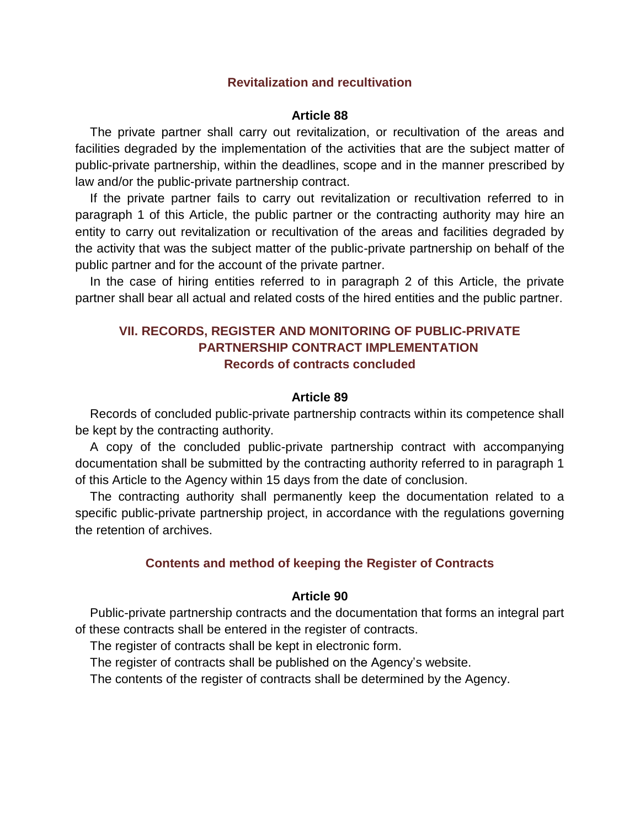## **Revitalization and recultivation**

### **Article 88**

The private partner shall carry out revitalization, or recultivation of the areas and facilities degraded by the implementation of the activities that are the subject matter of public-private partnership, within the deadlines, scope and in the manner prescribed by law and/or the public-private partnership contract.

If the private partner fails to carry out revitalization or recultivation referred to in paragraph 1 of this Article, the public partner or the contracting authority may hire an entity to carry out revitalization or recultivation of the areas and facilities degraded by the activity that was the subject matter of the public-private partnership on behalf of the public partner and for the account of the private partner.

In the case of hiring entities referred to in paragraph 2 of this Article, the private partner shall bear all actual and related costs of the hired entities and the public partner.

# **VII. RECORDS, REGISTER AND MONITORING OF PUBLIC-PRIVATE PARTNERSHIP CONTRACT IMPLEMENTATION Records of contracts concluded**

## **Article 89**

Records of concluded public-private partnership contracts within its competence shall be kept by the contracting authority.

A copy of the concluded public-private partnership contract with accompanying documentation shall be submitted by the contracting authority referred to in paragraph 1 of this Article to the Agency within 15 days from the date of conclusion.

The contracting authority shall permanently keep the documentation related to a specific public-private partnership project, in accordance with the regulations governing the retention of archives.

### **Contents and method of keeping the Register of Contracts**

### **Article 90**

Public-private partnership contracts and the documentation that forms an integral part of these contracts shall be entered in the register of contracts.

The register of contracts shall be kept in electronic form.

The register of contracts shall be published on the Agency's website.

The contents of the register of contracts shall be determined by the Agency.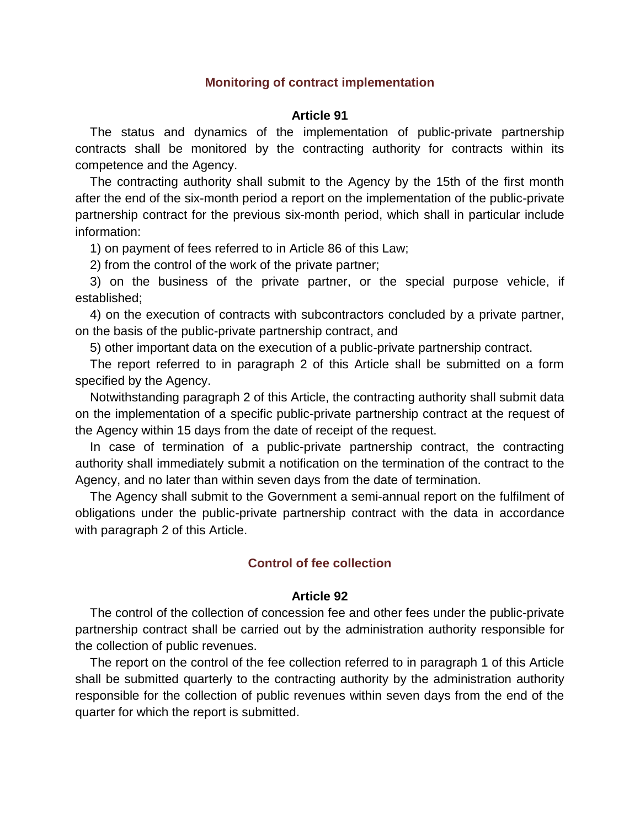### **Monitoring of contract implementation**

### **Article 91**

The status and dynamics of the implementation of public-private partnership contracts shall be monitored by the contracting authority for contracts within its competence and the Agency.

The contracting authority shall submit to the Agency by the 15th of the first month after the end of the six-month period a report on the implementation of the public-private partnership contract for the previous six-month period, which shall in particular include information:

1) on payment of fees referred to in Article 86 of this Law;

2) from the control of the work of the private partner;

3) on the business of the private partner, or the special purpose vehicle, if established;

4) on the execution of contracts with subcontractors concluded by a private partner, on the basis of the public-private partnership contract, and

5) other important data on the execution of a public-private partnership contract.

The report referred to in paragraph 2 of this Article shall be submitted on a form specified by the Agency.

Notwithstanding paragraph 2 of this Article, the contracting authority shall submit data on the implementation of a specific public-private partnership contract at the request of the Agency within 15 days from the date of receipt of the request.

In case of termination of a public-private partnership contract, the contracting authority shall immediately submit a notification on the termination of the contract to the Agency, and no later than within seven days from the date of termination.

The Agency shall submit to the Government a semi-annual report on the fulfilment of obligations under the public-private partnership contract with the data in accordance with paragraph 2 of this Article.

## **Control of fee collection**

#### **Article 92**

The control of the collection of concession fee and other fees under the public-private partnership contract shall be carried out by the administration authority responsible for the collection of public revenues.

The report on the control of the fee collection referred to in paragraph 1 of this Article shall be submitted quarterly to the contracting authority by the administration authority responsible for the collection of public revenues within seven days from the end of the quarter for which the report is submitted.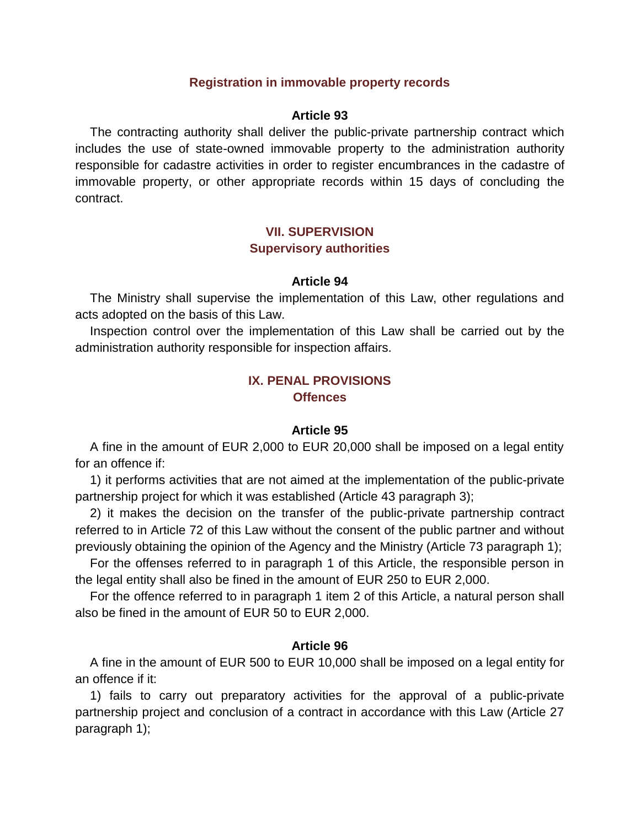## **Registration in immovable property records**

### **Article 93**

The contracting authority shall deliver the public-private partnership contract which includes the use of state-owned immovable property to the administration authority responsible for cadastre activities in order to register encumbrances in the cadastre of immovable property, or other appropriate records within 15 days of concluding the contract.

# **VII. SUPERVISION Supervisory authorities**

### **Article 94**

The Ministry shall supervise the implementation of this Law, other regulations and acts adopted on the basis of this Law.

Inspection control over the implementation of this Law shall be carried out by the administration authority responsible for inspection affairs.

## **IX. PENAL PROVISIONS Offences**

### **Article 95**

A fine in the amount of EUR 2,000 to EUR 20,000 shall be imposed on a legal entity for an offence if:

1) it performs activities that are not aimed at the implementation of the public-private partnership project for which it was established (Article 43 paragraph 3);

2) it makes the decision on the transfer of the public-private partnership contract referred to in Article 72 of this Law without the consent of the public partner and without previously obtaining the opinion of the Agency and the Ministry (Article 73 paragraph 1);

For the offenses referred to in paragraph 1 of this Article, the responsible person in the legal entity shall also be fined in the amount of EUR 250 to EUR 2,000.

For the offence referred to in paragraph 1 item 2 of this Article, a natural person shall also be fined in the amount of EUR 50 to EUR 2,000.

### **Article 96**

A fine in the amount of EUR 500 to EUR 10,000 shall be imposed on a legal entity for an offence if it:

1) fails to carry out preparatory activities for the approval of a public-private partnership project and conclusion of a contract in accordance with this Law (Article 27 paragraph 1);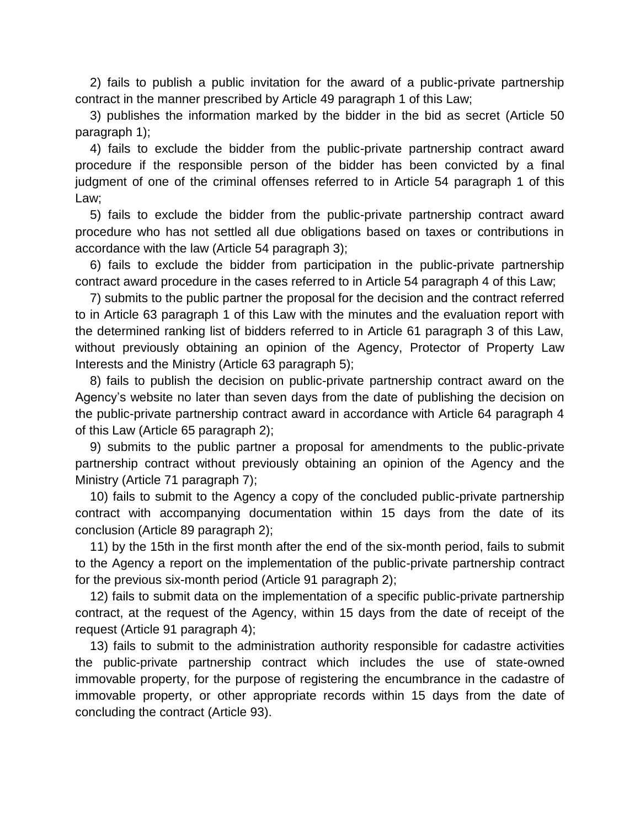2) fails to publish a public invitation for the award of a public-private partnership contract in the manner prescribed by Article 49 paragraph 1 of this Law;

3) publishes the information marked by the bidder in the bid as secret (Article 50 paragraph 1);

4) fails to exclude the bidder from the public-private partnership contract award procedure if the responsible person of the bidder has been convicted by a final judgment of one of the criminal offenses referred to in Article 54 paragraph 1 of this Law;

5) fails to exclude the bidder from the public-private partnership contract award procedure who has not settled all due obligations based on taxes or contributions in accordance with the law (Article 54 paragraph 3);

6) fails to exclude the bidder from participation in the public-private partnership contract award procedure in the cases referred to in Article 54 paragraph 4 of this Law;

7) submits to the public partner the proposal for the decision and the contract referred to in Article 63 paragraph 1 of this Law with the minutes and the evaluation report with the determined ranking list of bidders referred to in Article 61 paragraph 3 of this Law, without previously obtaining an opinion of the Agency, Protector of Property Law Interests and the Ministry (Article 63 paragraph 5);

8) fails to publish the decision on public-private partnership contract award on the Agency's website no later than seven days from the date of publishing the decision on the public-private partnership contract award in accordance with Article 64 paragraph 4 of this Law (Article 65 paragraph 2);

9) submits to the public partner a proposal for amendments to the public-private partnership contract without previously obtaining an opinion of the Agency and the Ministry (Article 71 paragraph 7);

10) fails to submit to the Agency a copy of the concluded public-private partnership contract with accompanying documentation within 15 days from the date of its conclusion (Article 89 paragraph 2);

11) by the 15th in the first month after the end of the six-month period, fails to submit to the Agency a report on the implementation of the public-private partnership contract for the previous six-month period (Article 91 paragraph 2);

12) fails to submit data on the implementation of a specific public-private partnership contract, at the request of the Agency, within 15 days from the date of receipt of the request (Article 91 paragraph 4);

13) fails to submit to the administration authority responsible for cadastre activities the public-private partnership contract which includes the use of state-owned immovable property, for the purpose of registering the encumbrance in the cadastre of immovable property, or other appropriate records within 15 days from the date of concluding the contract (Article 93).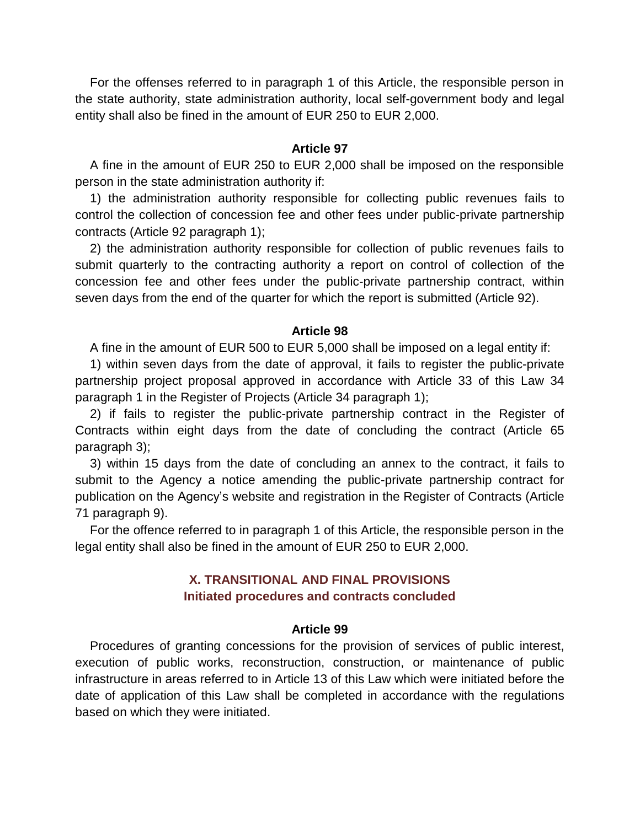For the offenses referred to in paragraph 1 of this Article, the responsible person in the state authority, state administration authority, local self-government body and legal entity shall also be fined in the amount of EUR 250 to EUR 2,000.

## **Article 97**

A fine in the amount of EUR 250 to EUR 2,000 shall be imposed on the responsible person in the state administration authority if:

1) the administration authority responsible for collecting public revenues fails to control the collection of concession fee and other fees under public-private partnership contracts (Article 92 paragraph 1);

2) the administration authority responsible for collection of public revenues fails to submit quarterly to the contracting authority a report on control of collection of the concession fee and other fees under the public-private partnership contract, within seven days from the end of the quarter for which the report is submitted (Article 92).

#### **Article 98**

A fine in the amount of EUR 500 to EUR 5,000 shall be imposed on a legal entity if:

1) within seven days from the date of approval, it fails to register the public-private partnership project proposal approved in accordance with Article 33 of this Law 34 paragraph 1 in the Register of Projects (Article 34 paragraph 1);

2) if fails to register the public-private partnership contract in the Register of Contracts within eight days from the date of concluding the contract (Article 65 paragraph 3);

3) within 15 days from the date of concluding an annex to the contract, it fails to submit to the Agency a notice amending the public-private partnership contract for publication on the Agency's website and registration in the Register of Contracts (Article 71 paragraph 9).

For the offence referred to in paragraph 1 of this Article, the responsible person in the legal entity shall also be fined in the amount of EUR 250 to EUR 2,000.

# **X. TRANSITIONAL AND FINAL PROVISIONS Initiated procedures and contracts concluded**

#### **Article 99**

Procedures of granting concessions for the provision of services of public interest, execution of public works, reconstruction, construction, or maintenance of public infrastructure in areas referred to in Article 13 of this Law which were initiated before the date of application of this Law shall be completed in accordance with the regulations based on which they were initiated.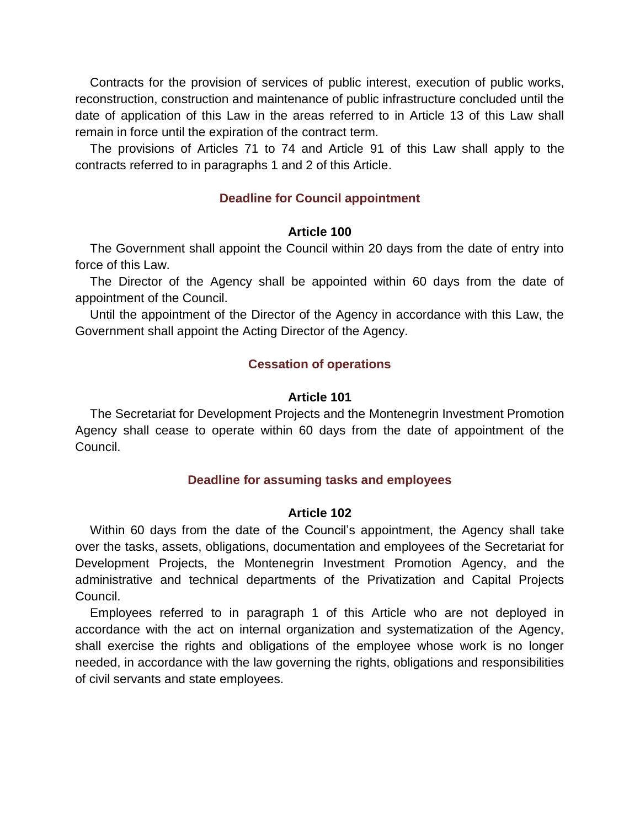Contracts for the provision of services of public interest, execution of public works, reconstruction, construction and maintenance of public infrastructure concluded until the date of application of this Law in the areas referred to in Article 13 of this Law shall remain in force until the expiration of the contract term.

The provisions of Articles 71 to 74 and Article 91 of this Law shall apply to the contracts referred to in paragraphs 1 and 2 of this Article.

# **Deadline for Council appointment**

## **Article 100**

The Government shall appoint the Council within 20 days from the date of entry into force of this Law.

The Director of the Agency shall be appointed within 60 days from the date of appointment of the Council.

Until the appointment of the Director of the Agency in accordance with this Law, the Government shall appoint the Acting Director of the Agency.

# **Cessation of operations**

## **Article 101**

The Secretariat for Development Projects and the Montenegrin Investment Promotion Agency shall cease to operate within 60 days from the date of appointment of the Council.

# **Deadline for assuming tasks and employees**

## **Article 102**

Within 60 days from the date of the Council's appointment, the Agency shall take over the tasks, assets, obligations, documentation and employees of the Secretariat for Development Projects, the Montenegrin Investment Promotion Agency, and the administrative and technical departments of the Privatization and Capital Projects Council.

Employees referred to in paragraph 1 of this Article who are not deployed in accordance with the act on internal organization and systematization of the Agency, shall exercise the rights and obligations of the employee whose work is no longer needed, in accordance with the law governing the rights, obligations and responsibilities of civil servants and state employees.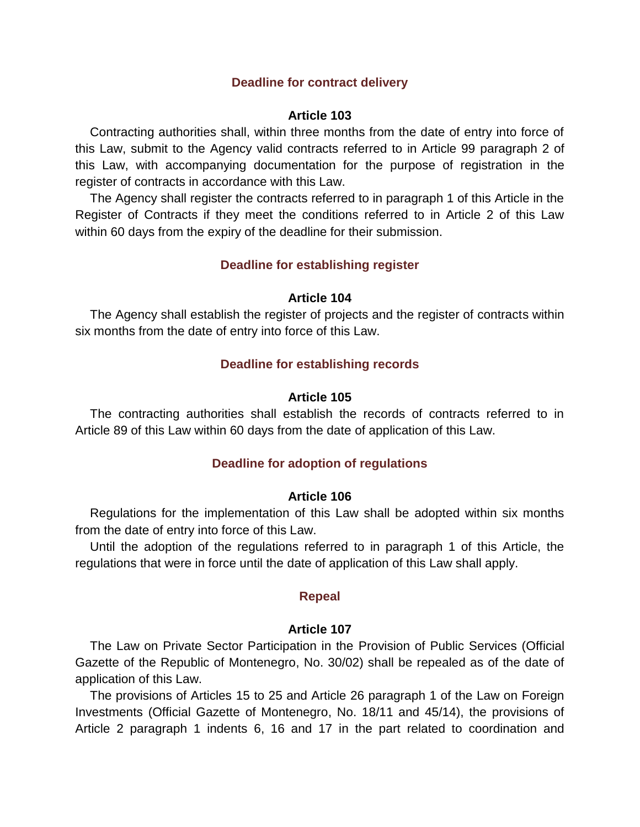## **Deadline for contract delivery**

#### **Article 103**

Contracting authorities shall, within three months from the date of entry into force of this Law, submit to the Agency valid contracts referred to in Article 99 paragraph 2 of this Law, with accompanying documentation for the purpose of registration in the register of contracts in accordance with this Law.

The Agency shall register the contracts referred to in paragraph 1 of this Article in the Register of Contracts if they meet the conditions referred to in Article 2 of this Law within 60 days from the expiry of the deadline for their submission.

### **Deadline for establishing register**

#### **Article 104**

The Agency shall establish the register of projects and the register of contracts within six months from the date of entry into force of this Law.

#### **Deadline for establishing records**

### **Article 105**

The contracting authorities shall establish the records of contracts referred to in Article 89 of this Law within 60 days from the date of application of this Law.

#### **Deadline for adoption of regulations**

#### **Article 106**

Regulations for the implementation of this Law shall be adopted within six months from the date of entry into force of this Law.

Until the adoption of the regulations referred to in paragraph 1 of this Article, the regulations that were in force until the date of application of this Law shall apply.

## **Repeal**

#### **Article 107**

The Law on Private Sector Participation in the Provision of Public Services (Official Gazette of the Republic of Montenegro, No. 30/02) shall be repealed as of the date of application of this Law.

The provisions of Articles 15 to 25 and Article 26 paragraph 1 of the Law on Foreign Investments (Official Gazette of Montenegro, No. 18/11 and 45/14), the provisions of Article 2 paragraph 1 indents 6, 16 and 17 in the part related to coordination and